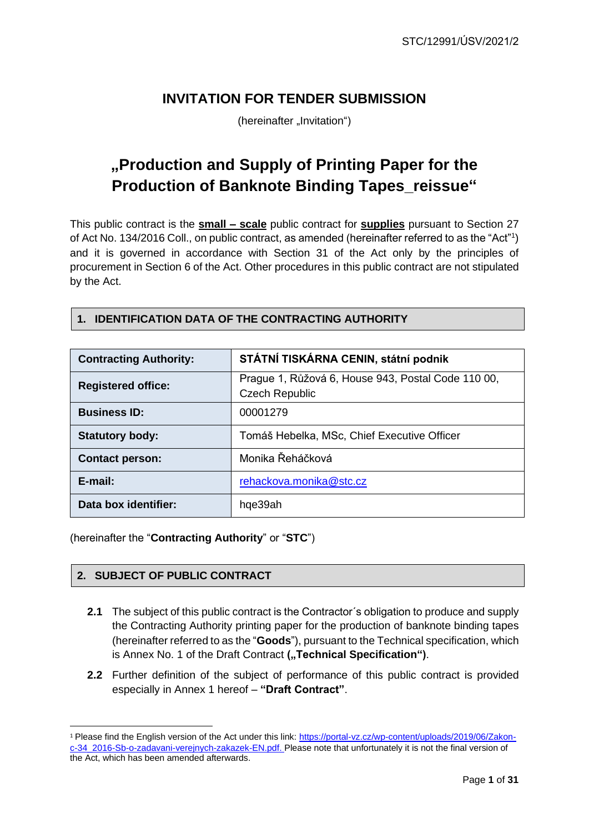## **INVITATION FOR TENDER SUBMISSION**

(hereinafter "Invitation")

## **"Production and Supply of Printing Paper for the Production of Banknote Binding Tapes\_reissue"**

This public contract is the **small – scale** public contract for **supplies** pursuant to Section 27 of Act No. 134/2016 Coll., on public contract, as amended (hereinafter referred to as the "Act"1) and it is governed in accordance with Section 31 of the Act only by the principles of procurement in Section 6 of the Act. Other procedures in this public contract are not stipulated by the Act.

#### **1. IDENTIFICATION DATA OF THE CONTRACTING AUTHORITY**

| <b>Contracting Authority:</b> | STÁTNÍ TISKÁRNA CENIN, státní podnik                                        |
|-------------------------------|-----------------------------------------------------------------------------|
| <b>Registered office:</b>     | Prague 1, Růžová 6, House 943, Postal Code 110 00,<br><b>Czech Republic</b> |
| <b>Business ID:</b>           | 00001279                                                                    |
| <b>Statutory body:</b>        | Tomáš Hebelka, MSc, Chief Executive Officer                                 |
| <b>Contact person:</b>        | Monika Řeháčková                                                            |
| E-mail:                       | rehackova.monika@stc.cz                                                     |
| Data box identifier:          | hqe39ah                                                                     |

(hereinafter the "**Contracting Authority**" or "**STC**")

#### **2. SUBJECT OF PUBLIC CONTRACT**

- **2.1** The subject of this public contract is the Contractor's obligation to produce and supply the Contracting Authority printing paper for the production of banknote binding tapes (hereinafter referred to as the "**Goods**"), pursuant to the Technical specification, which is Annex No. 1 of the Draft Contract ("Technical Specification").
- **2.2** Further definition of the subject of performance of this public contract is provided especially in Annex 1 hereof – **"Draft Contract"**.

<sup>&</sup>lt;sup>1</sup> Please find the English version of the Act under this link: https://portal-vz.cz/wp-content/uploads/2019/06/Zakonc-34\_2016-Sb-o-zadavani-verejnych-zakazek-EN.pdf. Please note that unfortunately it is not the final version of the Act, which has been amended afterwards.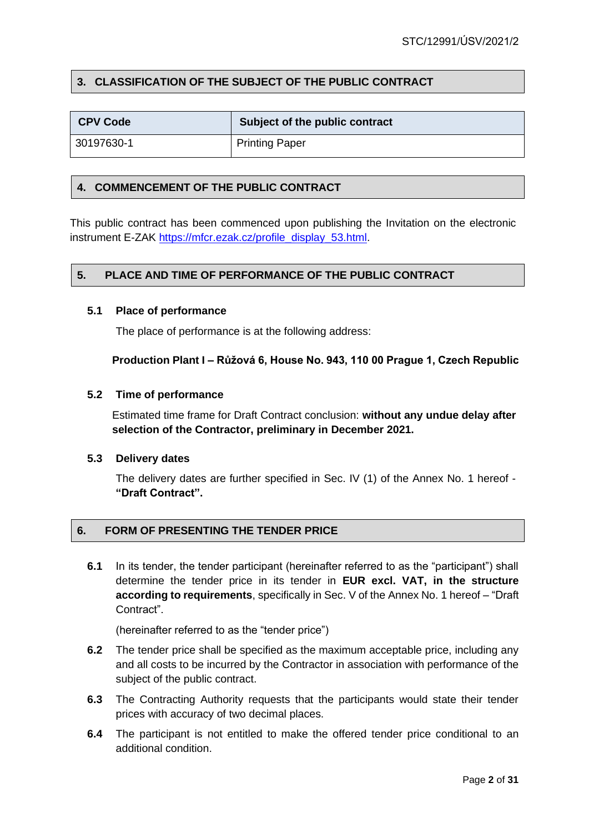#### **3. CLASSIFICATION OF THE SUBJECT OF THE PUBLIC CONTRACT**

| <b>CPV Code</b> | Subject of the public contract |
|-----------------|--------------------------------|
| 30197630-1      | <b>Printing Paper</b>          |

#### **4. COMMENCEMENT OF THE PUBLIC CONTRACT**

This public contract has been commenced upon publishing the Invitation on the electronic instrument E-ZAK [https://mfcr.ezak.cz/profile\\_display\\_53.html.](https://mfcr.ezak.cz/profile_display_53.html)

#### **5. PLACE AND TIME OF PERFORMANCE OF THE PUBLIC CONTRACT**

#### **5.1 Place of performance**

The place of performance is at the following address:

**Production Plant I – Růžová 6, House No. 943, 110 00 Prague 1, Czech Republic**

#### **5.2 Time of performance**

Estimated time frame for Draft Contract conclusion: **without any undue delay after selection of the Contractor, preliminary in December 2021.**

#### **5.3 Delivery dates**

The delivery dates are further specified in Sec. IV (1) of the Annex No. 1 hereof - **"Draft Contract".**

#### **6. FORM OF PRESENTING THE TENDER PRICE**

**6.1** In its tender, the tender participant (hereinafter referred to as the "participant") shall determine the tender price in its tender in **EUR excl. VAT, in the structure according to requirements**, specifically in Sec. V of the Annex No. 1 hereof – "Draft Contract".

(hereinafter referred to as the "tender price")

- **6.2** The tender price shall be specified as the maximum acceptable price, including any and all costs to be incurred by the Contractor in association with performance of the subject of the public contract.
- **6.3** The Contracting Authority requests that the participants would state their tender prices with accuracy of two decimal places.
- **6.4** The participant is not entitled to make the offered tender price conditional to an additional condition.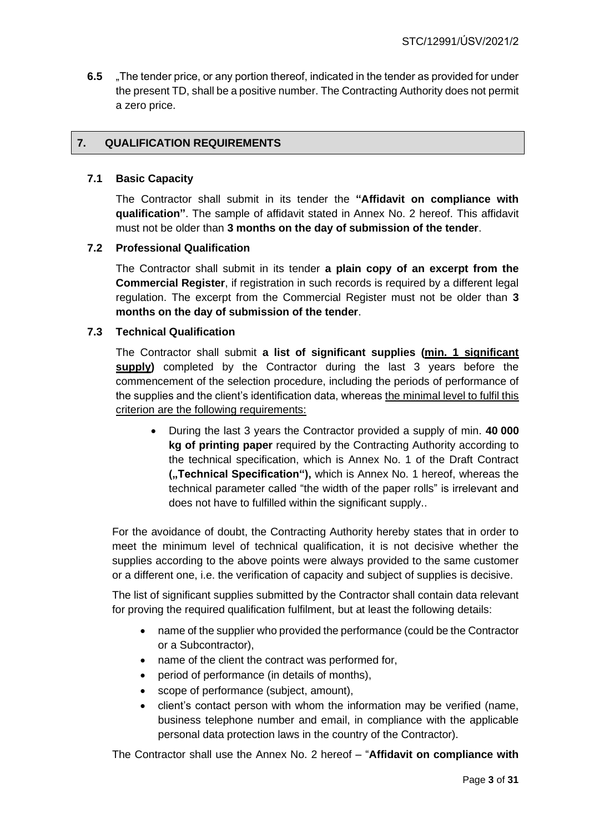**6.5** "The tender price, or any portion thereof, indicated in the tender as provided for under the present TD, shall be a positive number. The Contracting Authority does not permit a zero price.

#### **7. QUALIFICATION REQUIREMENTS**

#### **7.1 Basic Capacity**

The Contractor shall submit in its tender the **"Affidavit on compliance with qualification"**. The sample of affidavit stated in Annex No. 2 hereof. This affidavit must not be older than **3 months on the day of submission of the tender**.

#### **7.2 Professional Qualification**

The Contractor shall submit in its tender **a plain copy of an excerpt from the Commercial Register**, if registration in such records is required by a different legal regulation. The excerpt from the Commercial Register must not be older than **3 months on the day of submission of the tender**.

#### **7.3 Technical Qualification**

The Contractor shall submit **a list of significant supplies (min. 1 significant supply)** completed by the Contractor during the last 3 years before the commencement of the selection procedure, including the periods of performance of the supplies and the client's identification data, whereas the minimal level to fulfil this criterion are the following requirements:

• During the last 3 years the Contractor provided a supply of min. **40 000 kg of printing paper** required by the Contracting Authority according to the technical specification, which is Annex No. 1 of the Draft Contract **(**..Technical Specification"), which is Annex No. 1 hereof, whereas the technical parameter called "the width of the paper rolls" is irrelevant and does not have to fulfilled within the significant supply..

For the avoidance of doubt, the Contracting Authority hereby states that in order to meet the minimum level of technical qualification, it is not decisive whether the supplies according to the above points were always provided to the same customer or a different one, i.e. the verification of capacity and subject of supplies is decisive.

The list of significant supplies submitted by the Contractor shall contain data relevant for proving the required qualification fulfilment, but at least the following details:

- name of the supplier who provided the performance (could be the Contractor or a Subcontractor),
- name of the client the contract was performed for,
- period of performance (in details of months),
- scope of performance (subject, amount),
- client's contact person with whom the information may be verified (name, business telephone number and email, in compliance with the applicable personal data protection laws in the country of the Contractor).

The Contractor shall use the Annex No. 2 hereof – "**Affidavit on compliance with**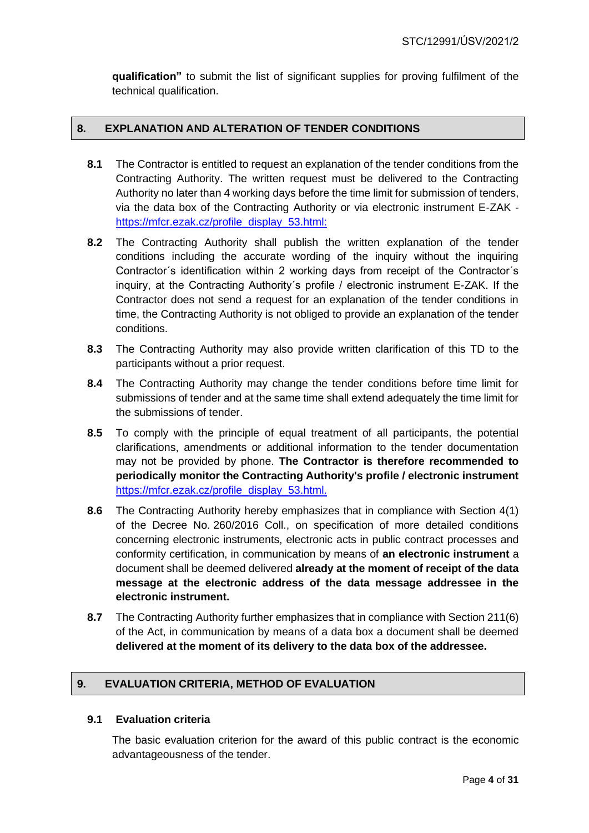**qualification"** to submit the list of significant supplies for proving fulfilment of the technical qualification.

#### **8. EXPLANATION AND ALTERATION OF TENDER CONDITIONS**

- **8.1** The Contractor is entitled to request an explanation of the tender conditions from the Contracting Authority. The written request must be delivered to the Contracting Authority no later than 4 working days before the time limit for submission of tenders, via the data box of the Contracting Authority or via electronic instrument E-ZAK [https://mfcr.ezak.cz/profile\\_display\\_53.html:](https://mfcr.ezak.cz/profile_display_53.html)
- **8.2** The Contracting Authority shall publish the written explanation of the tender conditions including the accurate wording of the inquiry without the inquiring Contractor´s identification within 2 working days from receipt of the Contractor´s inquiry, at the Contracting Authority´s profile / electronic instrument E-ZAK. If the Contractor does not send a request for an explanation of the tender conditions in time, the Contracting Authority is not obliged to provide an explanation of the tender conditions.
- **8.3** The Contracting Authority may also provide written clarification of this TD to the participants without a prior request.
- **8.4** The Contracting Authority may change the tender conditions before time limit for submissions of tender and at the same time shall extend adequately the time limit for the submissions of tender.
- **8.5** To comply with the principle of equal treatment of all participants, the potential clarifications, amendments or additional information to the tender documentation may not be provided by phone. **The Contractor is therefore recommended to periodically monitor the Contracting Authority's profile / electronic instrument** [https://mfcr.ezak.cz/profile\\_display\\_53.html.](https://mfcr.ezak.cz/profile_display_53.html)
- **8.6** The Contracting Authority hereby emphasizes that in compliance with Section 4(1) of the Decree No. 260/2016 Coll., on specification of more detailed conditions concerning electronic instruments, electronic acts in public contract processes and conformity certification, in communication by means of **an electronic instrument** a document shall be deemed delivered **already at the moment of receipt of the data message at the electronic address of the data message addressee in the electronic instrument.**
- **8.7** The Contracting Authority further emphasizes that in compliance with Section 211(6) of the Act, in communication by means of a data box a document shall be deemed **delivered at the moment of its delivery to the data box of the addressee.**

#### **9. EVALUATION CRITERIA, METHOD OF EVALUATION**

#### **9.1 Evaluation criteria**

The basic evaluation criterion for the award of this public contract is the economic advantageousness of the tender.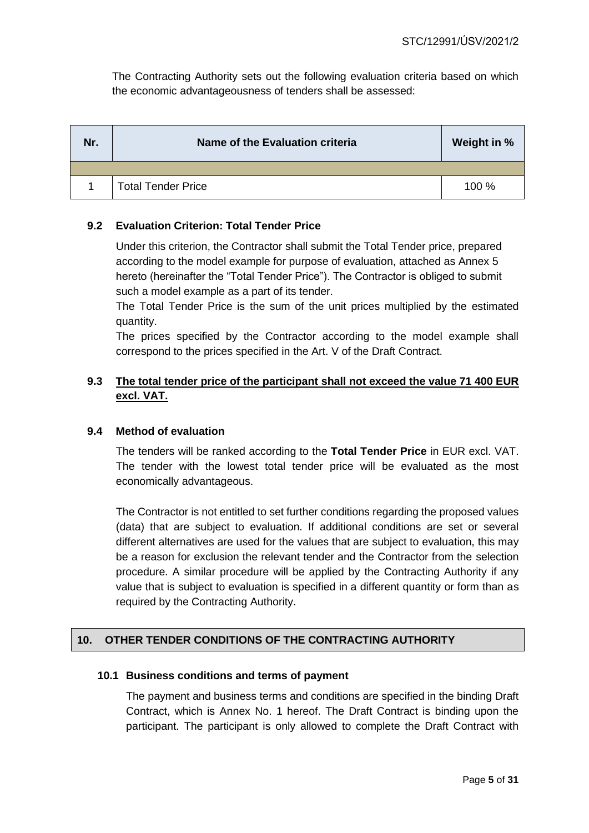The Contracting Authority sets out the following evaluation criteria based on which the economic advantageousness of tenders shall be assessed:

| Nr. | Name of the Evaluation criteria | Weight in % |
|-----|---------------------------------|-------------|
|     |                                 |             |
|     | <b>Total Tender Price</b>       | 100 %       |

#### **9.2 Evaluation Criterion: Total Tender Price**

Under this criterion, the Contractor shall submit the Total Tender price, prepared according to the model example for purpose of evaluation, attached as Annex 5 hereto (hereinafter the "Total Tender Price"). The Contractor is obliged to submit such a model example as a part of its tender.

The Total Tender Price is the sum of the unit prices multiplied by the estimated quantity.

The prices specified by the Contractor according to the model example shall correspond to the prices specified in the Art. V of the Draft Contract.

#### **9.3 The total tender price of the participant shall not exceed the value 71 400 EUR excl. VAT.**

#### **9.4 Method of evaluation**

The tenders will be ranked according to the **Total Tender Price** in EUR excl. VAT. The tender with the lowest total tender price will be evaluated as the most economically advantageous.

The Contractor is not entitled to set further conditions regarding the proposed values (data) that are subject to evaluation. If additional conditions are set or several different alternatives are used for the values that are subject to evaluation, this may be a reason for exclusion the relevant tender and the Contractor from the selection procedure. A similar procedure will be applied by the Contracting Authority if any value that is subject to evaluation is specified in a different quantity or form than as required by the Contracting Authority.

#### **10. OTHER TENDER CONDITIONS OF THE CONTRACTING AUTHORITY**

#### **10.1 Business conditions and terms of payment**

The payment and business terms and conditions are specified in the binding Draft Contract, which is Annex No. 1 hereof. The Draft Contract is binding upon the participant. The participant is only allowed to complete the Draft Contract with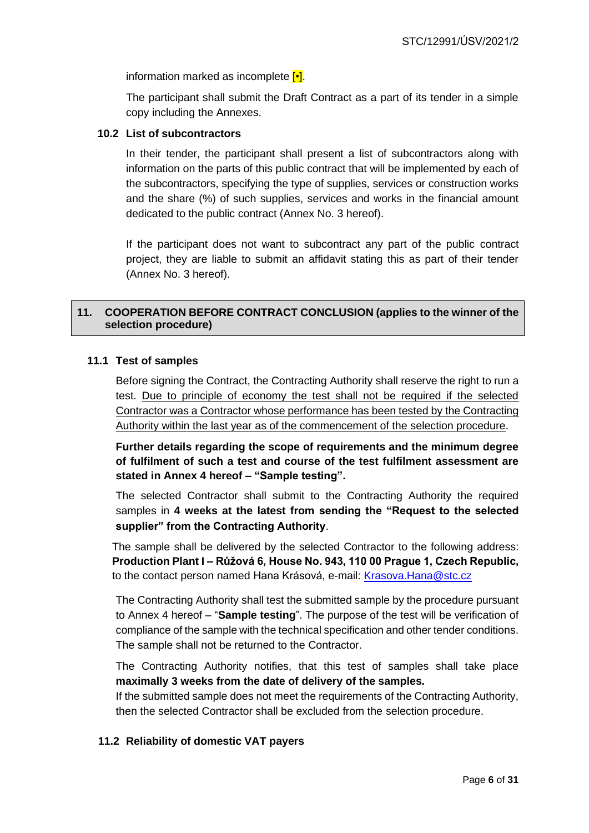information marked as incomplete  $\left[\bullet\right]$ .

The participant shall submit the Draft Contract as a part of its tender in a simple copy including the Annexes.

#### **10.2 List of subcontractors**

In their tender, the participant shall present a list of subcontractors along with information on the parts of this public contract that will be implemented by each of the subcontractors, specifying the type of supplies, services or construction works and the share (%) of such supplies, services and works in the financial amount dedicated to the public contract (Annex No. 3 hereof).

If the participant does not want to subcontract any part of the public contract project, they are liable to submit an affidavit stating this as part of their tender (Annex No. 3 hereof).

#### **11. COOPERATION BEFORE CONTRACT CONCLUSION (applies to the winner of the selection procedure)**

#### **11.1 Test of samples**

Before signing the Contract, the Contracting Authority shall reserve the right to run a test. Due to principle of economy the test shall not be required if the selected Contractor was a Contractor whose performance has been tested by the Contracting Authority within the last year as of the commencement of the selection procedure.

**Further details regarding the scope of requirements and the minimum degree of fulfilment of such a test and course of the test fulfilment assessment are stated in Annex 4 hereof – "Sample testing".**

The selected Contractor shall submit to the Contracting Authority the required samples in **4 weeks at the latest from sending the "Request to the selected supplier" from the Contracting Authority**.

The sample shall be delivered by the selected Contractor to the following address: **Production Plant I – Růžová 6, House No. 943, 110 00 Prague 1, Czech Republic,** to the contact person named Hana Krásová, e-mail: [Krasova.Hana@stc.cz](mailto:Krasova.Hana@stc.cz)

The Contracting Authority shall test the submitted sample by the procedure pursuant to Annex 4 hereof – "**Sample testing**". The purpose of the test will be verification of compliance of the sample with the technical specification and other tender conditions. The sample shall not be returned to the Contractor.

The Contracting Authority notifies, that this test of samples shall take place **maximally 3 weeks from the date of delivery of the samples.**

If the submitted sample does not meet the requirements of the Contracting Authority, then the selected Contractor shall be excluded from the selection procedure.

#### **11.2 Reliability of domestic VAT payers**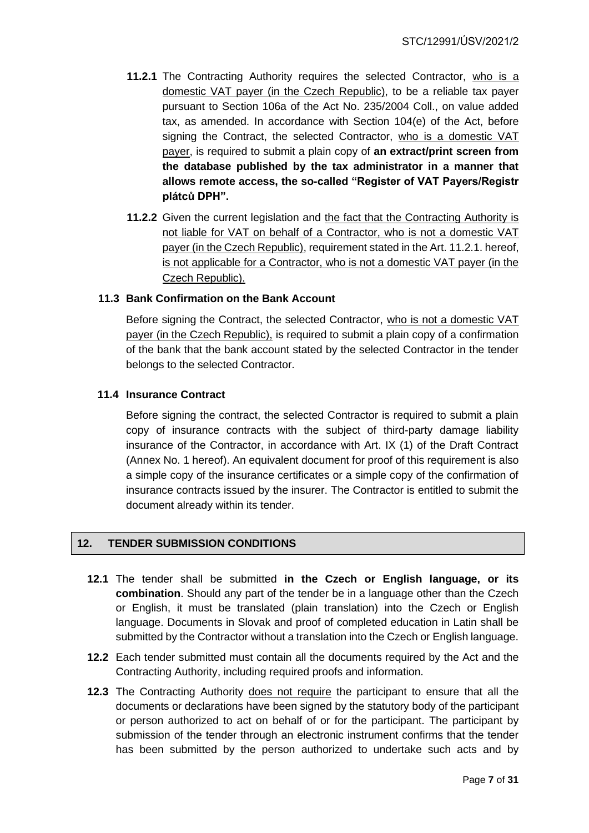- **11.2.1** The Contracting Authority requires the selected Contractor, who is a domestic VAT payer (in the Czech Republic), to be a reliable tax payer pursuant to Section 106a of the Act No. 235/2004 Coll., on value added tax, as amended. In accordance with Section 104(e) of the Act, before signing the Contract, the selected Contractor, who is a domestic VAT payer, is required to submit a plain copy of **an extract/print screen from the database published by the tax administrator in a manner that allows remote access, the so-called "Register of VAT Payers/Registr plátců DPH".**
- **11.2.2** Given the current legislation and the fact that the Contracting Authority is not liable for VAT on behalf of a Contractor, who is not a domestic VAT payer (in the Czech Republic), requirement stated in the Art. 11.2.1. hereof, is not applicable for a Contractor, who is not a domestic VAT payer (in the Czech Republic).

#### **11.3 Bank Confirmation on the Bank Account**

Before signing the Contract, the selected Contractor, who is not a domestic VAT payer (in the Czech Republic), is required to submit a plain copy of a confirmation of the bank that the bank account stated by the selected Contractor in the tender belongs to the selected Contractor.

#### **11.4 Insurance Contract**

Before signing the contract, the selected Contractor is required to submit a plain copy of insurance contracts with the subject of third-party damage liability insurance of the Contractor, in accordance with Art. IX (1) of the Draft Contract (Annex No. 1 hereof). An equivalent document for proof of this requirement is also a simple copy of the insurance certificates or a simple copy of the confirmation of insurance contracts issued by the insurer. The Contractor is entitled to submit the document already within its tender.

#### **12. TENDER SUBMISSION CONDITIONS**

- **12.1** The tender shall be submitted **in the Czech or English language, or its combination**. Should any part of the tender be in a language other than the Czech or English, it must be translated (plain translation) into the Czech or English language. Documents in Slovak and proof of completed education in Latin shall be submitted by the Contractor without a translation into the Czech or English language.
- **12.2** Each tender submitted must contain all the documents required by the Act and the Contracting Authority, including required proofs and information.
- **12.3** The Contracting Authority does not require the participant to ensure that all the documents or declarations have been signed by the statutory body of the participant or person authorized to act on behalf of or for the participant. The participant by submission of the tender through an electronic instrument confirms that the tender has been submitted by the person authorized to undertake such acts and by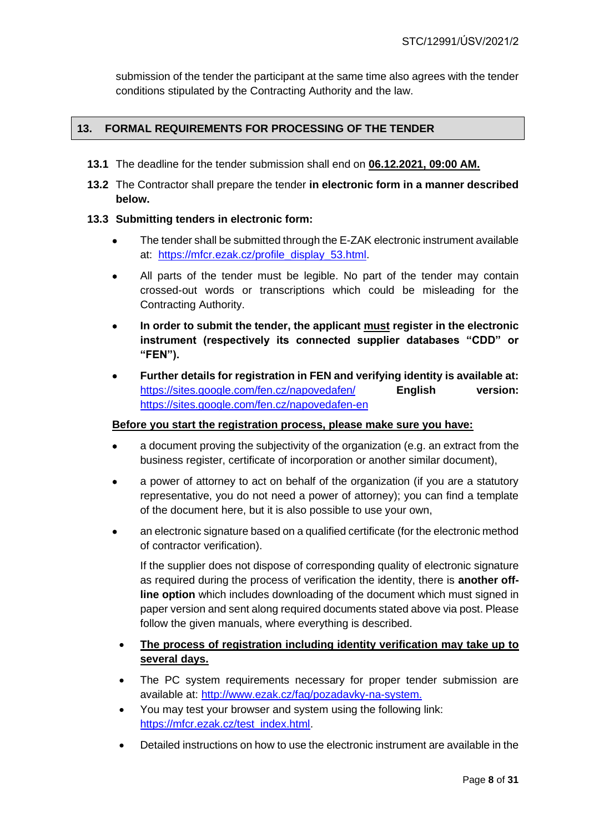submission of the tender the participant at the same time also agrees with the tender conditions stipulated by the Contracting Authority and the law.

#### **13. FORMAL REQUIREMENTS FOR PROCESSING OF THE TENDER**

- **13.1** The deadline for the tender submission shall end on **06.12.2021, 09:00 AM.**
- **13.2** The Contractor shall prepare the tender **in electronic form in a manner described below.**

#### **13.3 Submitting tenders in electronic form:**

- The tender shall be submitted through the E-ZAK electronic instrument available at: [https://mfcr.ezak.cz/profile\\_display\\_53.html.](https://mfcr.ezak.cz/profile_display_53.html)
- All parts of the tender must be legible. No part of the tender may contain crossed-out words or transcriptions which could be misleading for the Contracting Authority.
- **In order to submit the tender, the applicant must register in the electronic instrument (respectively its connected supplier databases "CDD" or "FEN").**
- **Further details for registration in FEN and verifying identity is available at:**  <https://sites.google.com/fen.cz/napovedafen/> **English version:** <https://sites.google.com/fen.cz/napovedafen-en>

#### **Before you start the registration process, please make sure you have:**

- a document proving the subjectivity of the organization (e.g. an extract from the business register, certificate of incorporation or another similar document),
- a power of attorney to act on behalf of the organization (if you are a statutory representative, you do not need a power of attorney); you can find a template of the document here, but it is also possible to use your own,
- an electronic signature based on a qualified certificate (for the electronic method of contractor verification).

If the supplier does not dispose of corresponding quality of electronic signature as required during the process of verification the identity, there is **another offline option** which includes downloading of the document which must signed in paper version and sent along required documents stated above via post. Please follow the given manuals, where everything is described.

- **The process of registration including identity verification may take up to several days.**
- The PC system requirements necessary for proper tender submission are available at: [http://www.ezak.cz/faq/pozadavky-na-system.](http://www.ezak.cz/faq/pozadavky-na-system)
- You may test your browser and system using the following link: https://mfcr.ezak.cz/test\_index.html
- Detailed instructions on how to use the electronic instrument are available in the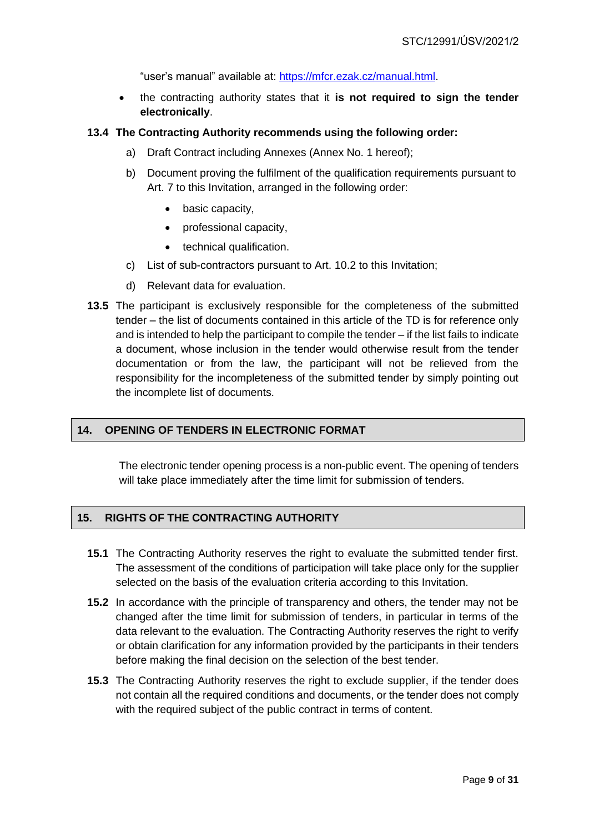"user's manual" available at: [https://mfcr.ezak.cz/manual.html.](https://mfcr.ezak.cz/manual.html)

• the contracting authority states that it **is not required to sign the tender electronically**.

#### **13.4 The Contracting Authority recommends using the following order:**

- a) Draft Contract including Annexes (Annex No. 1 hereof);
- b) Document proving the fulfilment of the qualification requirements pursuant to Art. 7 to this Invitation, arranged in the following order:
	- basic capacity,
	- professional capacity,
	- technical qualification.
- c) List of sub-contractors pursuant to Art. 10.2 to this Invitation;
- d) Relevant data for evaluation.
- **13.5** The participant is exclusively responsible for the completeness of the submitted tender – the list of documents contained in this article of the TD is for reference only and is intended to help the participant to compile the tender – if the list fails to indicate a document, whose inclusion in the tender would otherwise result from the tender documentation or from the law, the participant will not be relieved from the responsibility for the incompleteness of the submitted tender by simply pointing out the incomplete list of documents.

#### **14. OPENING OF TENDERS IN ELECTRONIC FORMAT**

The electronic tender opening process is a non-public event. The opening of tenders will take place immediately after the time limit for submission of tenders.

#### **15. RIGHTS OF THE CONTRACTING AUTHORITY**

- **15.1** The Contracting Authority reserves the right to evaluate the submitted tender first. The assessment of the conditions of participation will take place only for the supplier selected on the basis of the evaluation criteria according to this Invitation.
- **15.2** In accordance with the principle of transparency and others, the tender may not be changed after the time limit for submission of tenders, in particular in terms of the data relevant to the evaluation. The Contracting Authority reserves the right to verify or obtain clarification for any information provided by the participants in their tenders before making the final decision on the selection of the best tender.
- **15.3** The Contracting Authority reserves the right to exclude supplier, if the tender does not contain all the required conditions and documents, or the tender does not comply with the required subject of the public contract in terms of content.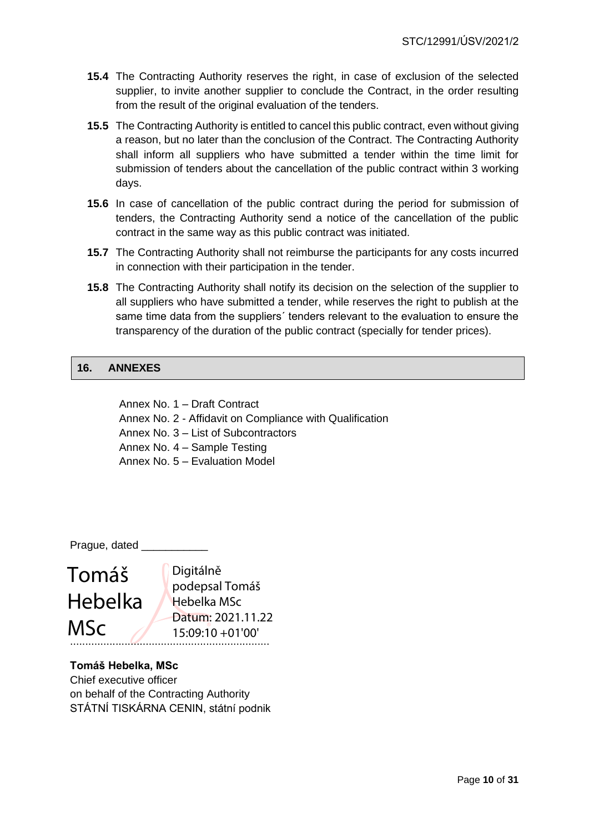- **15.4** The Contracting Authority reserves the right, in case of exclusion of the selected supplier, to invite another supplier to conclude the Contract, in the order resulting from the result of the original evaluation of the tenders.
- **15.5** The Contracting Authority is entitled to cancel this public contract, even without giving a reason, but no later than the conclusion of the Contract. The Contracting Authority shall inform all suppliers who have submitted a tender within the time limit for submission of tenders about the cancellation of the public contract within 3 working days.
- **15.6** In case of cancellation of the public contract during the period for submission of tenders, the Contracting Authority send a notice of the cancellation of the public contract in the same way as this public contract was initiated.
- **15.7** The Contracting Authority shall not reimburse the participants for any costs incurred in connection with their participation in the tender.
- **15.8** The Contracting Authority shall notify its decision on the selection of the supplier to all suppliers who have submitted a tender, while reserves the right to publish at the same time data from the suppliers´ tenders relevant to the evaluation to ensure the transparency of the duration of the public contract (specially for tender prices).

#### **16. ANNEXES**

Annex No. 1 – Draft Contract Annex No. 2 - Affidavit on Compliance with Qualification Annex No. 3 – List of Subcontractors Annex No. 4 – Sample Testing Annex No. 5 – Evaluation Model

Prague, dated \_

# Tomáš Hebelka MSc

.................................................................. Digitálně podepsal Tomáš Hebelka MSc Datum: 2021.11.22 15:09:10 +01'00'

#### **Tomáš Hebelka, MSc**

Chief executive officer on behalf of the Contracting Authority STÁTNÍ TISKÁRNA CENIN, státní podnik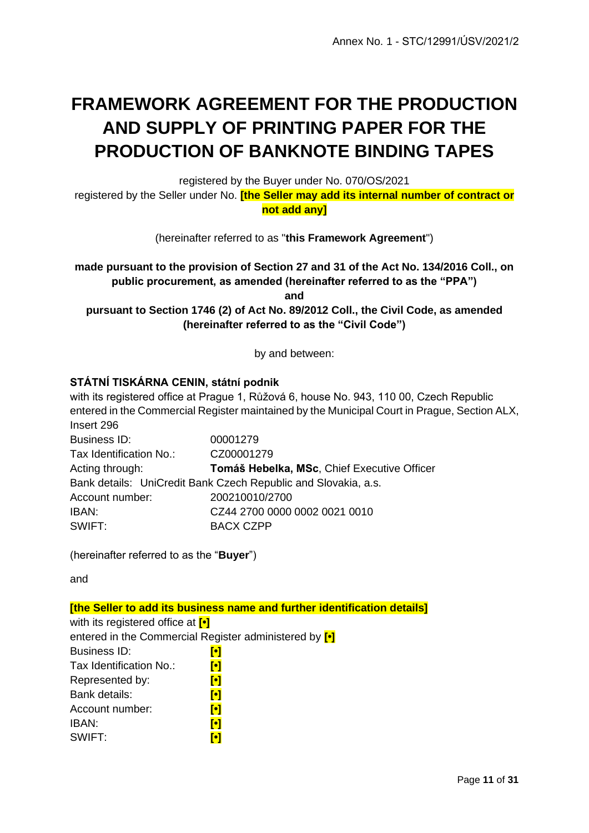## **FRAMEWORK AGREEMENT FOR THE PRODUCTION AND SUPPLY OF PRINTING PAPER FOR THE PRODUCTION OF BANKNOTE BINDING TAPES**

registered by the Buyer under No. 070/OS/2021

registered by the Seller under No. **[the Seller may add its internal number of contract or not add any]**

(hereinafter referred to as "**this Framework Agreement**")

**made pursuant to the provision of Section 27 and 31 of the Act No. 134/2016 Coll., on public procurement, as amended (hereinafter referred to as the "PPA") and** 

**pursuant to Section 1746 (2) of Act No. 89/2012 Coll., the Civil Code, as amended (hereinafter referred to as the "Civil Code")**

by and between:

#### **STÁTNÍ TISKÁRNA CENIN, státní podnik**

with its registered office at Prague 1, Růžová 6, house No. 943, 110 00, Czech Republic entered in the Commercial Register maintained by the Municipal Court in Prague, Section ALX, Insert 296

Business ID: 00001279 Tax Identification No.: CZ00001279 Acting through: **Tomáš Hebelka, MSc**, Chief Executive Officer Bank details: UniCredit Bank Czech Republic and Slovakia, a.s. Account number: 200210010/2700 IBAN: CZ44 2700 0000 0002 0021 0010 SWIFT: BACX CZPP

(hereinafter referred to as the "**Buyer**")

and

**[the Seller to add its business name and further identification details]** with its registered office at **[•]** entered in the Commercial Register administered by **[•]** Business ID: **[•]** Tax Identification No.: **[•]** Represented by: **[•]** Bank details: **[•]** Account number: **[•]** IBAN: **[•]** SWIFT: **[•]**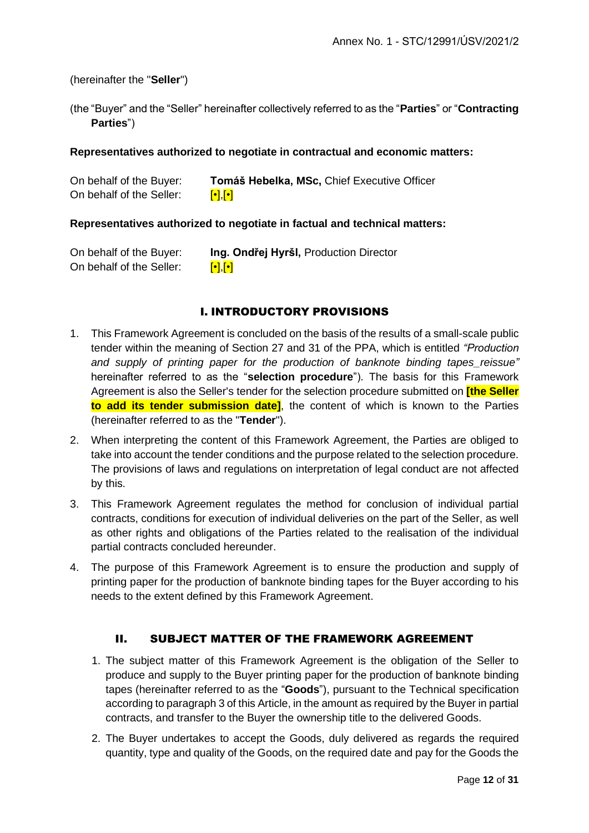#### (hereinafter the "**Seller**")

(the "Buyer" and the "Seller" hereinafter collectively referred to as the "**Parties**" or "**Contracting Parties**")

#### **Representatives authorized to negotiate in contractual and economic matters:**

| On behalf of the Buyer:  | Tomáš Hebelka, MSc, Chief Executive Officer        |
|--------------------------|----------------------------------------------------|
| On behalf of the Seller: | $\lbrack \bullet \rbrack, \lbrack \bullet \rbrack$ |

#### **Representatives authorized to negotiate in factual and technical matters:**

| On behalf of the Buyer:  | Ing. Ondřej Hyršl, Production Director |
|--------------------------|----------------------------------------|
| On behalf of the Seller: | $\left[\cdot\right]\left[\cdot\right]$ |

#### I. INTRODUCTORY PROVISIONS

- 1. This Framework Agreement is concluded on the basis of the results of a small-scale public tender within the meaning of Section 27 and 31 of the PPA, which is entitled *"Production*  and supply of printing paper for the production of banknote binding tapes reissue" hereinafter referred to as the "**selection procedure**"). The basis for this Framework Agreement is also the Seller's tender for the selection procedure submitted on **[the Seller to add its tender submission date]**, the content of which is known to the Parties (hereinafter referred to as the "**Tender**").
- 2. When interpreting the content of this Framework Agreement, the Parties are obliged to take into account the tender conditions and the purpose related to the selection procedure. The provisions of laws and regulations on interpretation of legal conduct are not affected by this.
- 3. This Framework Agreement regulates the method for conclusion of individual partial contracts, conditions for execution of individual deliveries on the part of the Seller, as well as other rights and obligations of the Parties related to the realisation of the individual partial contracts concluded hereunder.
- 4. The purpose of this Framework Agreement is to ensure the production and supply of printing paper for the production of banknote binding tapes for the Buyer according to his needs to the extent defined by this Framework Agreement.

#### II. SUBJECT MATTER OF THE FRAMEWORK AGREEMENT

- 1. The subject matter of this Framework Agreement is the obligation of the Seller to produce and supply to the Buyer printing paper for the production of banknote binding tapes (hereinafter referred to as the "**Goods**"), pursuant to the Technical specification according to paragraph 3 of this Article, in the amount as required by the Buyer in partial contracts, and transfer to the Buyer the ownership title to the delivered Goods.
- 2. The Buyer undertakes to accept the Goods, duly delivered as regards the required quantity, type and quality of the Goods, on the required date and pay for the Goods the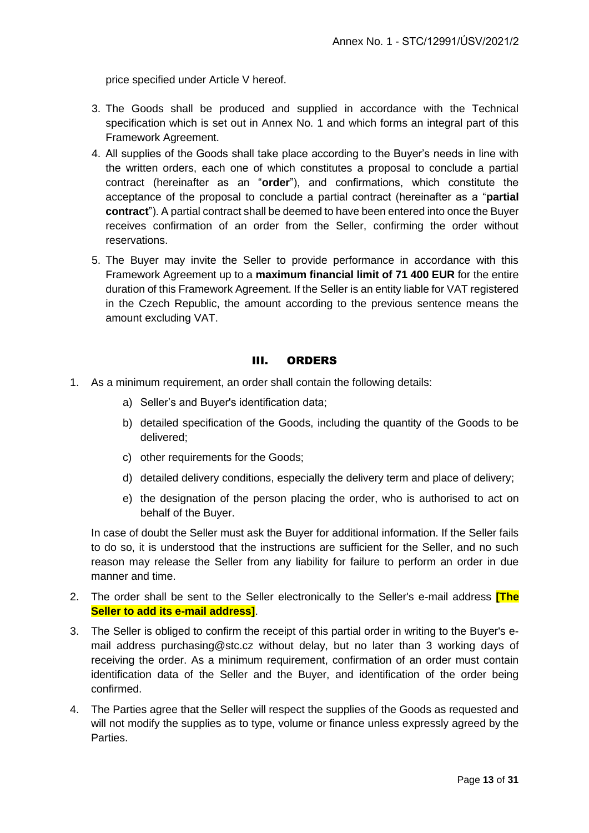price specified under Article V hereof.

- 3. The Goods shall be produced and supplied in accordance with the Technical specification which is set out in Annex No. 1 and which forms an integral part of this Framework Agreement.
- 4. All supplies of the Goods shall take place according to the Buyer's needs in line with the written orders, each one of which constitutes a proposal to conclude a partial contract (hereinafter as an "**order**"), and confirmations, which constitute the acceptance of the proposal to conclude a partial contract (hereinafter as a "**partial contract**"). A partial contract shall be deemed to have been entered into once the Buyer receives confirmation of an order from the Seller, confirming the order without reservations.
- 5. The Buyer may invite the Seller to provide performance in accordance with this Framework Agreement up to a **maximum financial limit of 71 400 EUR** for the entire duration of this Framework Agreement. If the Seller is an entity liable for VAT registered in the Czech Republic, the amount according to the previous sentence means the amount excluding VAT.

#### III. ORDERS

- 1. As a minimum requirement, an order shall contain the following details:
	- a) Seller's and Buyer's identification data;
	- b) detailed specification of the Goods, including the quantity of the Goods to be delivered;
	- c) other requirements for the Goods;
	- d) detailed delivery conditions, especially the delivery term and place of delivery;
	- e) the designation of the person placing the order, who is authorised to act on behalf of the Buyer.

In case of doubt the Seller must ask the Buyer for additional information. If the Seller fails to do so, it is understood that the instructions are sufficient for the Seller, and no such reason may release the Seller from any liability for failure to perform an order in due manner and time.

- 2. The order shall be sent to the Seller electronically to the Seller's e-mail address **[The Seller to add its e-mail address]**.
- 3. The Seller is obliged to confirm the receipt of this partial order in writing to the Buyer's email address [purchasing@stc.cz](mailto:purchasing@stc.cz) without delay, but no later than 3 working days of receiving the order. As a minimum requirement, confirmation of an order must contain identification data of the Seller and the Buyer, and identification of the order being confirmed.
- 4. The Parties agree that the Seller will respect the supplies of the Goods as requested and will not modify the supplies as to type, volume or finance unless expressly agreed by the Parties.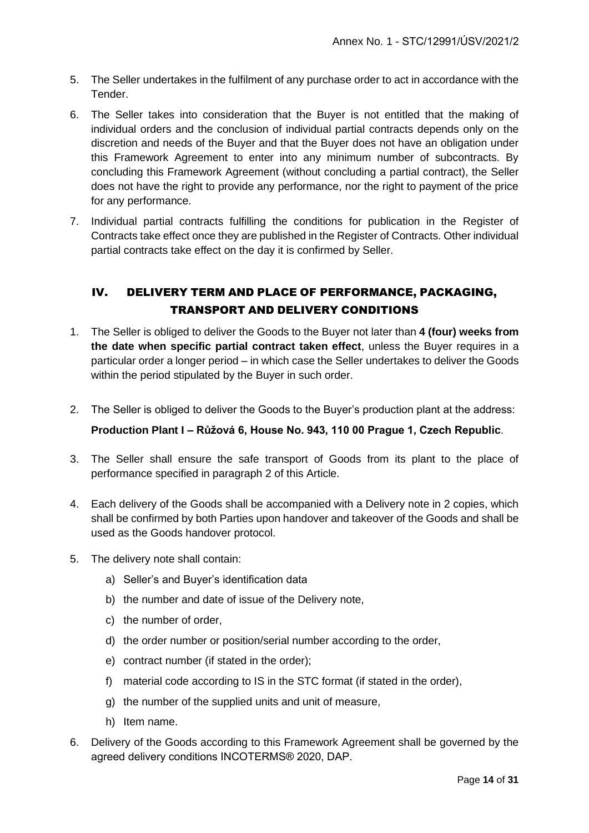- 5. The Seller undertakes in the fulfilment of any purchase order to act in accordance with the Tender.
- 6. The Seller takes into consideration that the Buyer is not entitled that the making of individual orders and the conclusion of individual partial contracts depends only on the discretion and needs of the Buyer and that the Buyer does not have an obligation under this Framework Agreement to enter into any minimum number of subcontracts. By concluding this Framework Agreement (without concluding a partial contract), the Seller does not have the right to provide any performance, nor the right to payment of the price for any performance.
- 7. Individual partial contracts fulfilling the conditions for publication in the Register of Contracts take effect once they are published in the Register of Contracts. Other individual partial contracts take effect on the day it is confirmed by Seller.

#### IV. DELIVERY TERM AND PLACE OF PERFORMANCE, PACKAGING, TRANSPORT AND DELIVERY CONDITIONS

- 1. The Seller is obliged to deliver the Goods to the Buyer not later than **4 (four) weeks from the date when specific partial contract taken effect**, unless the Buyer requires in a particular order a longer period – in which case the Seller undertakes to deliver the Goods within the period stipulated by the Buyer in such order.
- 2. The Seller is obliged to deliver the Goods to the Buyer's production plant at the address:

#### **Production Plant I – Růžová 6, House No. 943, 110 00 Prague 1, Czech Republic**.

- 3. The Seller shall ensure the safe transport of Goods from its plant to the place of performance specified in paragraph 2 of this Article.
- 4. Each delivery of the Goods shall be accompanied with a Delivery note in 2 copies, which shall be confirmed by both Parties upon handover and takeover of the Goods and shall be used as the Goods handover protocol.
- 5. The delivery note shall contain:
	- a) Seller's and Buyer's identification data
	- b) the number and date of issue of the Delivery note,
	- c) the number of order,
	- d) the order number or position/serial number according to the order,
	- e) contract number (if stated in the order);
	- f) material code according to IS in the STC format (if stated in the order),
	- g) the number of the supplied units and unit of measure,
	- h) Item name.
- 6. Delivery of the Goods according to this Framework Agreement shall be governed by the agreed delivery conditions INCOTERMS® 2020, DAP.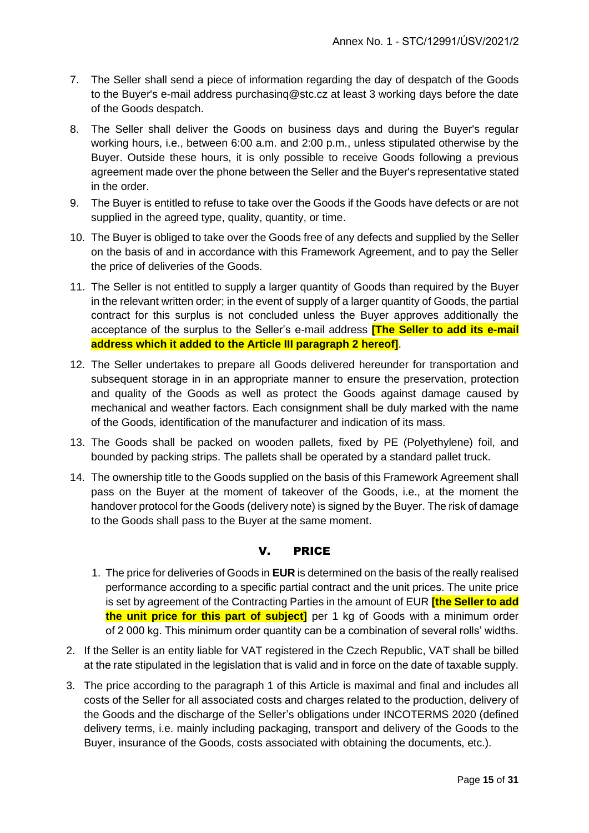- 7. The Seller shall send a piece of information regarding the day of despatch of the Goods to the Buyer's e-mail address [purchasinq@stc.cz](mailto:purchasinq@stc.cz) at least 3 working days before the date of the Goods despatch.
- 8. The Seller shall deliver the Goods on business days and during the Buyer's regular working hours, i.e., between 6:00 a.m. and 2:00 p.m., unless stipulated otherwise by the Buyer. Outside these hours, it is only possible to receive Goods following a previous agreement made over the phone between the Seller and the Buyer's representative stated in the order.
- 9. The Buyer is entitled to refuse to take over the Goods if the Goods have defects or are not supplied in the agreed type, quality, quantity, or time.
- 10. The Buyer is obliged to take over the Goods free of any defects and supplied by the Seller on the basis of and in accordance with this Framework Agreement, and to pay the Seller the price of deliveries of the Goods.
- 11. The Seller is not entitled to supply a larger quantity of Goods than required by the Buyer in the relevant written order; in the event of supply of a larger quantity of Goods, the partial contract for this surplus is not concluded unless the Buyer approves additionally the acceptance of the surplus to the Seller's e-mail address **[The Seller to add its e-mail address which it added to the Article III paragraph 2 hereof]**.
- 12. The Seller undertakes to prepare all Goods delivered hereunder for transportation and subsequent storage in in an appropriate manner to ensure the preservation, protection and quality of the Goods as well as protect the Goods against damage caused by mechanical and weather factors. Each consignment shall be duly marked with the name of the Goods, identification of the manufacturer and indication of its mass.
- 13. The Goods shall be packed on wooden pallets, fixed by PE (Polyethylene) foil, and bounded by packing strips. The pallets shall be operated by a standard pallet truck.
- 14. The ownership title to the Goods supplied on the basis of this Framework Agreement shall pass on the Buyer at the moment of takeover of the Goods, i.e., at the moment the handover protocol for the Goods (delivery note) is signed by the Buyer. The risk of damage to the Goods shall pass to the Buyer at the same moment.

#### V. PRICE

- 1. The price for deliveries of Goods in **EUR** is determined on the basis of the really realised performance according to a specific partial contract and the unit prices. The unite price is set by agreement of the Contracting Parties in the amount of EUR **[the Seller to add the unit price for this part of subject]** per 1 kg of Goods with a minimum order of 2 000 kg. This minimum order quantity can be a combination of several rolls' widths.
- 2. If the Seller is an entity liable for VAT registered in the Czech Republic, VAT shall be billed at the rate stipulated in the legislation that is valid and in force on the date of taxable supply.
- 3. The price according to the paragraph 1 of this Article is maximal and final and includes all costs of the Seller for all associated costs and charges related to the production, delivery of the Goods and the discharge of the Seller's obligations under INCOTERMS 2020 (defined delivery terms, i.e. mainly including packaging, transport and delivery of the Goods to the Buyer, insurance of the Goods, costs associated with obtaining the documents, etc.).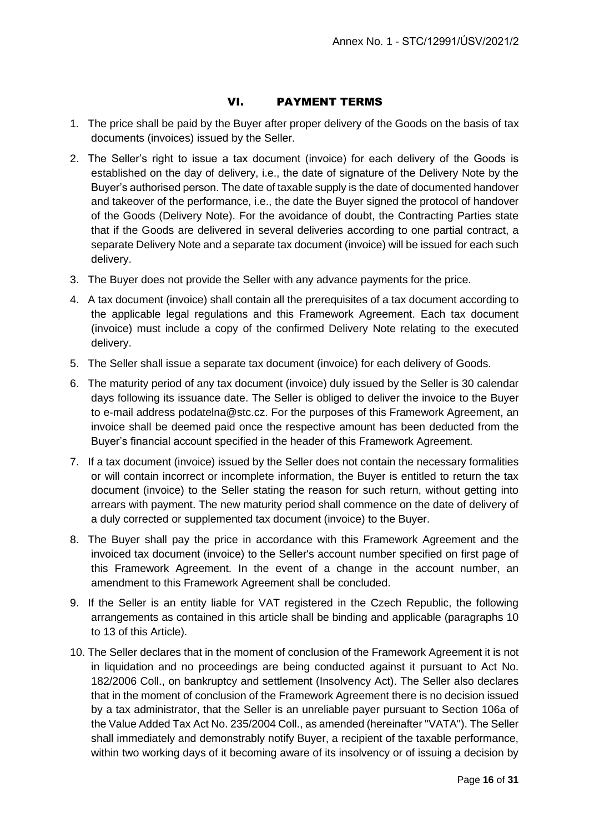#### VI. PAYMENT TERMS

- 1. The price shall be paid by the Buyer after proper delivery of the Goods on the basis of tax documents (invoices) issued by the Seller.
- 2. The Seller's right to issue a tax document (invoice) for each delivery of the Goods is established on the day of delivery, i.e., the date of signature of the Delivery Note by the Buyer's authorised person. The date of taxable supply is the date of documented handover and takeover of the performance, i.e., the date the Buyer signed the protocol of handover of the Goods (Delivery Note). For the avoidance of doubt, the Contracting Parties state that if the Goods are delivered in several deliveries according to one partial contract, a separate Delivery Note and a separate tax document (invoice) will be issued for each such delivery.
- 3. The Buyer does not provide the Seller with any advance payments for the price.
- 4. A tax document (invoice) shall contain all the prerequisites of a tax document according to the applicable legal regulations and this Framework Agreement. Each tax document (invoice) must include a copy of the confirmed Delivery Note relating to the executed delivery.
- 5. The Seller shall issue a separate tax document (invoice) for each delivery of Goods.
- 6. The maturity period of any tax document (invoice) duly issued by the Seller is 30 calendar days following its issuance date. The Seller is obliged to deliver the invoice to the Buyer to e-mail address [podatelna@stc.cz.](mailto:podatelna@stc.cz) For the purposes of this Framework Agreement, an invoice shall be deemed paid once the respective amount has been deducted from the Buyer's financial account specified in the header of this Framework Agreement.
- 7. If a tax document (invoice) issued by the Seller does not contain the necessary formalities or will contain incorrect or incomplete information, the Buyer is entitled to return the tax document (invoice) to the Seller stating the reason for such return, without getting into arrears with payment. The new maturity period shall commence on the date of delivery of a duly corrected or supplemented tax document (invoice) to the Buyer.
- 8. The Buyer shall pay the price in accordance with this Framework Agreement and the invoiced tax document (invoice) to the Seller's account number specified on first page of this Framework Agreement. In the event of a change in the account number, an amendment to this Framework Agreement shall be concluded.
- 9. If the Seller is an entity liable for VAT registered in the Czech Republic, the following arrangements as contained in this article shall be binding and applicable (paragraphs 10 to 13 of this Article).
- 10. The Seller declares that in the moment of conclusion of the Framework Agreement it is not in liquidation and no proceedings are being conducted against it pursuant to Act No. 182/2006 Coll., on bankruptcy and settlement (Insolvency Act). The Seller also declares that in the moment of conclusion of the Framework Agreement there is no decision issued by a tax administrator, that the Seller is an unreliable payer pursuant to Section 106a of the Value Added Tax Act No. 235/2004 Coll., as amended (hereinafter "VATA"). The Seller shall immediately and demonstrably notify Buyer, a recipient of the taxable performance, within two working days of it becoming aware of its insolvency or of issuing a decision by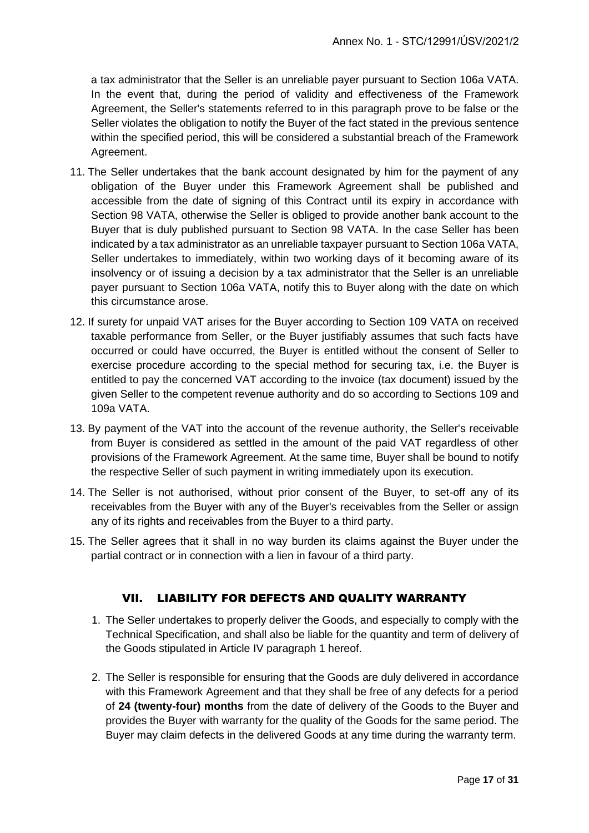a tax administrator that the Seller is an unreliable payer pursuant to Section 106a VATA. In the event that, during the period of validity and effectiveness of the Framework Agreement, the Seller's statements referred to in this paragraph prove to be false or the Seller violates the obligation to notify the Buyer of the fact stated in the previous sentence within the specified period, this will be considered a substantial breach of the Framework Agreement.

- 11. The Seller undertakes that the bank account designated by him for the payment of any obligation of the Buyer under this Framework Agreement shall be published and accessible from the date of signing of this Contract until its expiry in accordance with Section 98 VATA, otherwise the Seller is obliged to provide another bank account to the Buyer that is duly published pursuant to Section 98 VATA. In the case Seller has been indicated by a tax administrator as an unreliable taxpayer pursuant to Section 106a VATA, Seller undertakes to immediately, within two working days of it becoming aware of its insolvency or of issuing a decision by a tax administrator that the Seller is an unreliable payer pursuant to Section 106a VATA, notify this to Buyer along with the date on which this circumstance arose.
- 12. If surety for unpaid VAT arises for the Buyer according to Section 109 VATA on received taxable performance from Seller, or the Buyer justifiably assumes that such facts have occurred or could have occurred, the Buyer is entitled without the consent of Seller to exercise procedure according to the special method for securing tax, i.e. the Buyer is entitled to pay the concerned VAT according to the invoice (tax document) issued by the given Seller to the competent revenue authority and do so according to Sections 109 and 109a VATA.
- 13. By payment of the VAT into the account of the revenue authority, the Seller's receivable from Buyer is considered as settled in the amount of the paid VAT regardless of other provisions of the Framework Agreement. At the same time, Buyer shall be bound to notify the respective Seller of such payment in writing immediately upon its execution.
- 14. The Seller is not authorised, without prior consent of the Buyer, to set-off any of its receivables from the Buyer with any of the Buyer's receivables from the Seller or assign any of its rights and receivables from the Buyer to a third party.
- 15. The Seller agrees that it shall in no way burden its claims against the Buyer under the partial contract or in connection with a lien in favour of a third party.

#### VII. LIABILITY FOR DEFECTS AND QUALITY WARRANTY

- 1. The Seller undertakes to properly deliver the Goods, and especially to comply with the Technical Specification, and shall also be liable for the quantity and term of delivery of the Goods stipulated in Article IV paragraph 1 hereof.
- 2. The Seller is responsible for ensuring that the Goods are duly delivered in accordance with this Framework Agreement and that they shall be free of any defects for a period of **24 (twenty-four) months** from the date of delivery of the Goods to the Buyer and provides the Buyer with warranty for the quality of the Goods for the same period. The Buyer may claim defects in the delivered Goods at any time during the warranty term.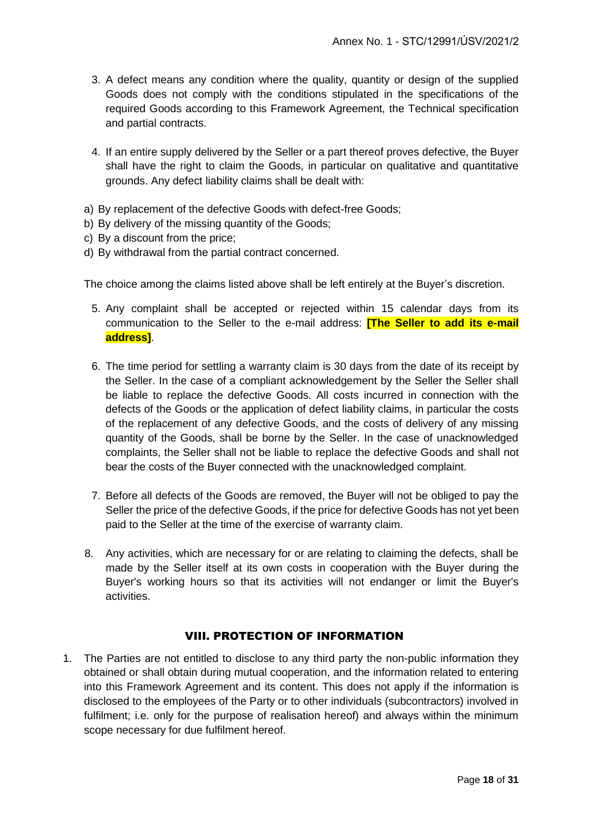- 3. A defect means any condition where the quality, quantity or design of the supplied Goods does not comply with the conditions stipulated in the specifications of the required Goods according to this Framework Agreement, the Technical specification and partial contracts.
- 4. If an entire supply delivered by the Seller or a part thereof proves defective, the Buyer shall have the right to claim the Goods, in particular on qualitative and quantitative grounds. Any defect liability claims shall be dealt with:
- a) By replacement of the defective Goods with defect-free Goods;
- b) By delivery of the missing quantity of the Goods;
- c) By a discount from the price;
- d) By withdrawal from the partial contract concerned.

The choice among the claims listed above shall be left entirely at the Buyer's discretion.

- 5. Any complaint shall be accepted or rejected within 15 calendar days from its communication to the Seller to the e-mail address: **[The Seller to add its e-mail address]**.
- 6. The time period for settling a warranty claim is 30 days from the date of its receipt by the Seller. In the case of a compliant acknowledgement by the Seller the Seller shall be liable to replace the defective Goods. All costs incurred in connection with the defects of the Goods or the application of defect liability claims, in particular the costs of the replacement of any defective Goods, and the costs of delivery of any missing quantity of the Goods, shall be borne by the Seller. In the case of unacknowledged complaints, the Seller shall not be liable to replace the defective Goods and shall not bear the costs of the Buyer connected with the unacknowledged complaint.
- 7. Before all defects of the Goods are removed, the Buyer will not be obliged to pay the Seller the price of the defective Goods, if the price for defective Goods has not yet been paid to the Seller at the time of the exercise of warranty claim.
- 8. Any activities, which are necessary for or are relating to claiming the defects, shall be made by the Seller itself at its own costs in cooperation with the Buyer during the Buyer's working hours so that its activities will not endanger or limit the Buyer's activities.

#### VIII. PROTECTION OF INFORMATION

1. The Parties are not entitled to disclose to any third party the non-public information they obtained or shall obtain during mutual cooperation, and the information related to entering into this Framework Agreement and its content. This does not apply if the information is disclosed to the employees of the Party or to other individuals (subcontractors) involved in fulfilment; i.e. only for the purpose of realisation hereof) and always within the minimum scope necessary for due fulfilment hereof.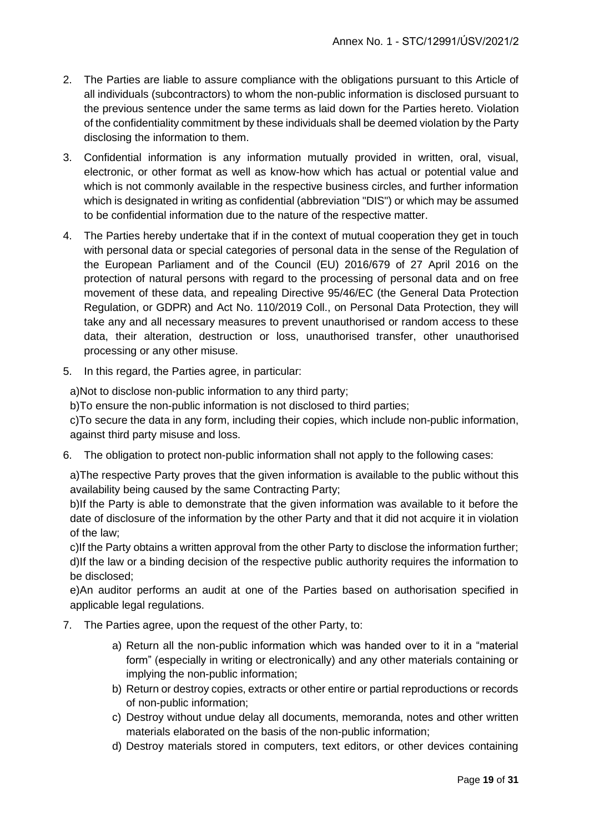- 2. The Parties are liable to assure compliance with the obligations pursuant to this Article of all individuals (subcontractors) to whom the non-public information is disclosed pursuant to the previous sentence under the same terms as laid down for the Parties hereto. Violation of the confidentiality commitment by these individuals shall be deemed violation by the Party disclosing the information to them.
- 3. Confidential information is any information mutually provided in written, oral, visual, electronic, or other format as well as know-how which has actual or potential value and which is not commonly available in the respective business circles, and further information which is designated in writing as confidential (abbreviation "DIS") or which may be assumed to be confidential information due to the nature of the respective matter.
- 4. The Parties hereby undertake that if in the context of mutual cooperation they get in touch with personal data or special categories of personal data in the sense of the Regulation of the European Parliament and of the Council (EU) 2016/679 of 27 April 2016 on the protection of natural persons with regard to the processing of personal data and on free movement of these data, and repealing Directive 95/46/EC (the General Data Protection Regulation, or GDPR) and Act No. 110/2019 Coll., on Personal Data Protection, they will take any and all necessary measures to prevent unauthorised or random access to these data, their alteration, destruction or loss, unauthorised transfer, other unauthorised processing or any other misuse.
- 5. In this regard, the Parties agree, in particular:

a)Not to disclose non-public information to any third party;

b)To ensure the non-public information is not disclosed to third parties;

c)To secure the data in any form, including their copies, which include non-public information, against third party misuse and loss.

6. The obligation to protect non-public information shall not apply to the following cases:

a)The respective Party proves that the given information is available to the public without this availability being caused by the same Contracting Party;

b)If the Party is able to demonstrate that the given information was available to it before the date of disclosure of the information by the other Party and that it did not acquire it in violation of the law;

c)If the Party obtains a written approval from the other Party to disclose the information further; d)If the law or a binding decision of the respective public authority requires the information to be disclosed;

e)An auditor performs an audit at one of the Parties based on authorisation specified in applicable legal regulations.

- 7. The Parties agree, upon the request of the other Party, to:
	- a) Return all the non-public information which was handed over to it in a "material form" (especially in writing or electronically) and any other materials containing or implying the non-public information;
	- b) Return or destroy copies, extracts or other entire or partial reproductions or records of non-public information;
	- c) Destroy without undue delay all documents, memoranda, notes and other written materials elaborated on the basis of the non-public information;
	- d) Destroy materials stored in computers, text editors, or other devices containing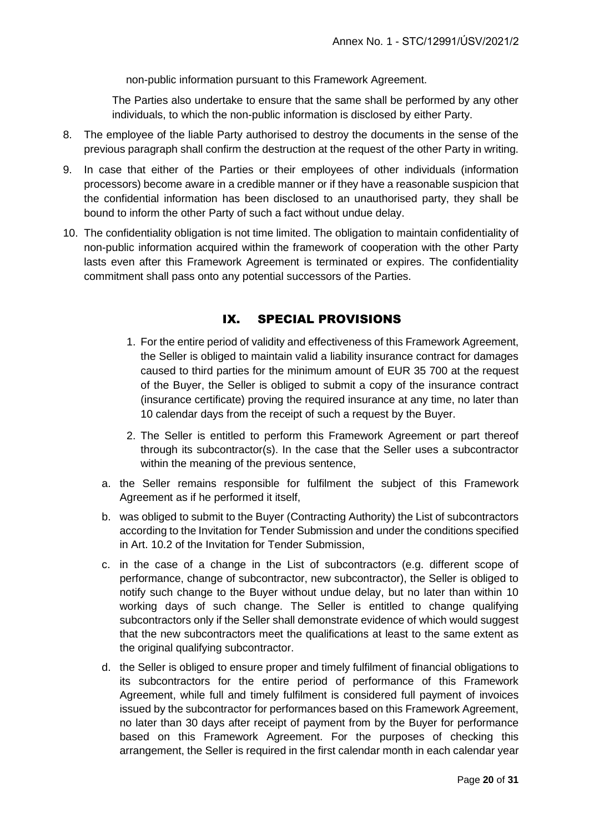non-public information pursuant to this Framework Agreement.

The Parties also undertake to ensure that the same shall be performed by any other individuals, to which the non-public information is disclosed by either Party.

- 8. The employee of the liable Party authorised to destroy the documents in the sense of the previous paragraph shall confirm the destruction at the request of the other Party in writing.
- 9. In case that either of the Parties or their employees of other individuals (information processors) become aware in a credible manner or if they have a reasonable suspicion that the confidential information has been disclosed to an unauthorised party, they shall be bound to inform the other Party of such a fact without undue delay.
- 10. The confidentiality obligation is not time limited. The obligation to maintain confidentiality of non-public information acquired within the framework of cooperation with the other Party lasts even after this Framework Agreement is terminated or expires. The confidentiality commitment shall pass onto any potential successors of the Parties.

#### IX. SPECIAL PROVISIONS

- 1. For the entire period of validity and effectiveness of this Framework Agreement, the Seller is obliged to maintain valid a liability insurance contract for damages caused to third parties for the minimum amount of EUR 35 700 at the request of the Buyer, the Seller is obliged to submit a copy of the insurance contract (insurance certificate) proving the required insurance at any time, no later than 10 calendar days from the receipt of such a request by the Buyer.
- 2. The Seller is entitled to perform this Framework Agreement or part thereof through its subcontractor(s). In the case that the Seller uses a subcontractor within the meaning of the previous sentence,
- a. the Seller remains responsible for fulfilment the subject of this Framework Agreement as if he performed it itself,
- b. was obliged to submit to the Buyer (Contracting Authority) the List of subcontractors according to the Invitation for Tender Submission and under the conditions specified in Art. 10.2 of the Invitation for Tender Submission,
- c. in the case of a change in the List of subcontractors (e.g. different scope of performance, change of subcontractor, new subcontractor), the Seller is obliged to notify such change to the Buyer without undue delay, but no later than within 10 working days of such change. The Seller is entitled to change qualifying subcontractors only if the Seller shall demonstrate evidence of which would suggest that the new subcontractors meet the qualifications at least to the same extent as the original qualifying subcontractor.
- d. the Seller is obliged to ensure proper and timely fulfilment of financial obligations to its subcontractors for the entire period of performance of this Framework Agreement, while full and timely fulfilment is considered full payment of invoices issued by the subcontractor for performances based on this Framework Agreement, no later than 30 days after receipt of payment from by the Buyer for performance based on this Framework Agreement. For the purposes of checking this arrangement, the Seller is required in the first calendar month in each calendar year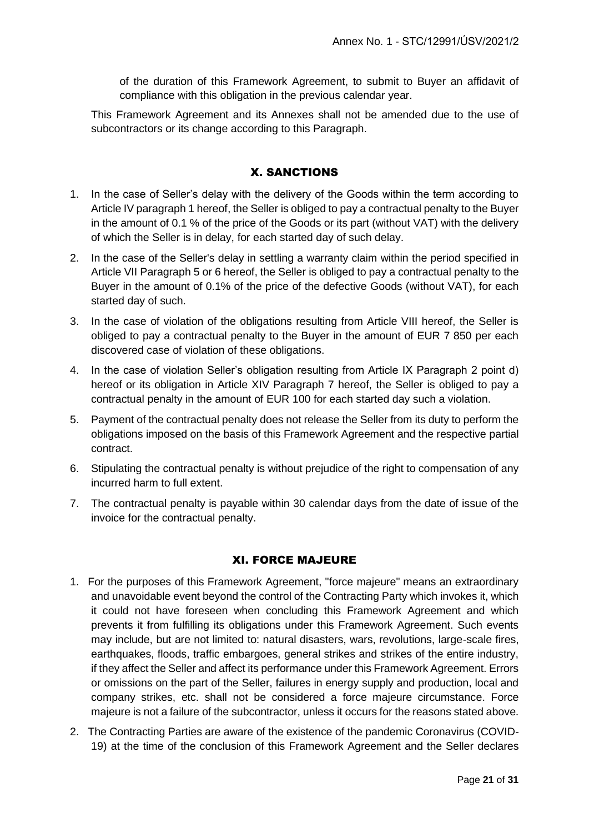of the duration of this Framework Agreement, to submit to Buyer an affidavit of compliance with this obligation in the previous calendar year.

This Framework Agreement and its Annexes shall not be amended due to the use of subcontractors or its change according to this Paragraph.

#### X. SANCTIONS

- 1. In the case of Seller's delay with the delivery of the Goods within the term according to Article IV paragraph 1 hereof, the Seller is obliged to pay a contractual penalty to the Buyer in the amount of 0.1 % of the price of the Goods or its part (without VAT) with the delivery of which the Seller is in delay, for each started day of such delay.
- 2. In the case of the Seller's delay in settling a warranty claim within the period specified in Article VII Paragraph 5 or 6 hereof, the Seller is obliged to pay a contractual penalty to the Buyer in the amount of 0.1% of the price of the defective Goods (without VAT), for each started day of such.
- 3. In the case of violation of the obligations resulting from Article VIII hereof, the Seller is obliged to pay a contractual penalty to the Buyer in the amount of EUR 7 850 per each discovered case of violation of these obligations.
- 4. In the case of violation Seller's obligation resulting from Article IX Paragraph 2 point d) hereof or its obligation in Article XIV Paragraph 7 hereof, the Seller is obliged to pay a contractual penalty in the amount of EUR 100 for each started day such a violation.
- 5. Payment of the contractual penalty does not release the Seller from its duty to perform the obligations imposed on the basis of this Framework Agreement and the respective partial contract.
- 6. Stipulating the contractual penalty is without prejudice of the right to compensation of any incurred harm to full extent.
- 7. The contractual penalty is payable within 30 calendar days from the date of issue of the invoice for the contractual penalty.

#### XI. FORCE MAJEURE

- 1. For the purposes of this Framework Agreement, "force majeure" means an extraordinary and unavoidable event beyond the control of the Contracting Party which invokes it, which it could not have foreseen when concluding this Framework Agreement and which prevents it from fulfilling its obligations under this Framework Agreement. Such events may include, but are not limited to: natural disasters, wars, revolutions, large-scale fires, earthquakes, floods, traffic embargoes, general strikes and strikes of the entire industry, if they affect the Seller and affect its performance under this Framework Agreement. Errors or omissions on the part of the Seller, failures in energy supply and production, local and company strikes, etc. shall not be considered a force majeure circumstance. Force majeure is not a failure of the subcontractor, unless it occurs for the reasons stated above.
- 2. The Contracting Parties are aware of the existence of the pandemic Coronavirus (COVID-19) at the time of the conclusion of this Framework Agreement and the Seller declares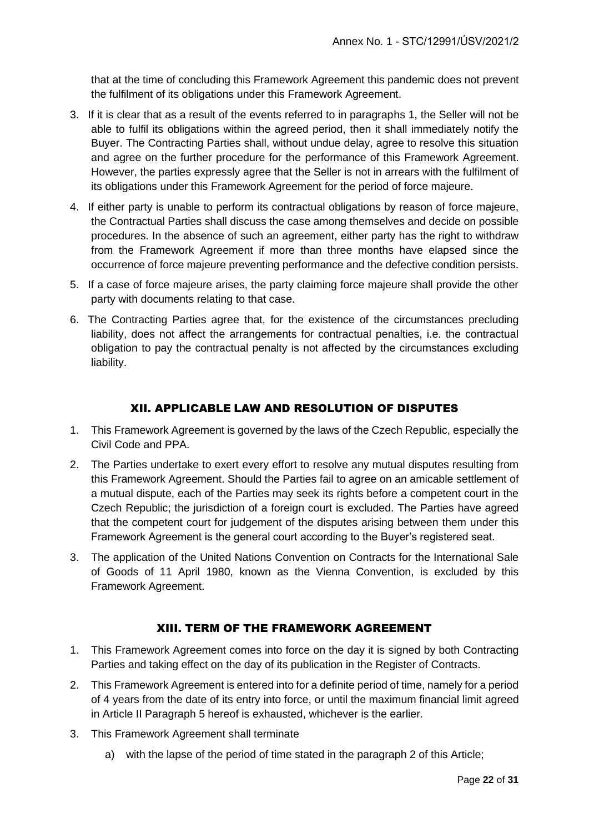that at the time of concluding this Framework Agreement this pandemic does not prevent the fulfilment of its obligations under this Framework Agreement.

- 3. If it is clear that as a result of the events referred to in paragraphs 1, the Seller will not be able to fulfil its obligations within the agreed period, then it shall immediately notify the Buyer. The Contracting Parties shall, without undue delay, agree to resolve this situation and agree on the further procedure for the performance of this Framework Agreement. However, the parties expressly agree that the Seller is not in arrears with the fulfilment of its obligations under this Framework Agreement for the period of force majeure.
- 4. If either party is unable to perform its contractual obligations by reason of force majeure, the Contractual Parties shall discuss the case among themselves and decide on possible procedures. In the absence of such an agreement, either party has the right to withdraw from the Framework Agreement if more than three months have elapsed since the occurrence of force majeure preventing performance and the defective condition persists.
- 5. If a case of force majeure arises, the party claiming force majeure shall provide the other party with documents relating to that case.
- 6. The Contracting Parties agree that, for the existence of the circumstances precluding liability, does not affect the arrangements for contractual penalties, i.e. the contractual obligation to pay the contractual penalty is not affected by the circumstances excluding liability.

#### XII. APPLICABLE LAW AND RESOLUTION OF DISPUTES

- 1. This Framework Agreement is governed by the laws of the Czech Republic, especially the Civil Code and PPA.
- 2. The Parties undertake to exert every effort to resolve any mutual disputes resulting from this Framework Agreement. Should the Parties fail to agree on an amicable settlement of a mutual dispute, each of the Parties may seek its rights before a competent court in the Czech Republic; the jurisdiction of a foreign court is excluded. The Parties have agreed that the competent court for judgement of the disputes arising between them under this Framework Agreement is the general court according to the Buyer's registered seat.
- 3. The application of the United Nations Convention on Contracts for the International Sale of Goods of 11 April 1980, known as the Vienna Convention, is excluded by this Framework Agreement.

#### XIII. TERM OF THE FRAMEWORK AGREEMENT

- 1. This Framework Agreement comes into force on the day it is signed by both Contracting Parties and taking effect on the day of its publication in the Register of Contracts.
- 2. This Framework Agreement is entered into for a definite period of time, namely for a period of 4 years from the date of its entry into force, or until the maximum financial limit agreed in Article II Paragraph 5 hereof is exhausted, whichever is the earlier.
- 3. This Framework Agreement shall terminate
	- a) with the lapse of the period of time stated in the paragraph 2 of this Article;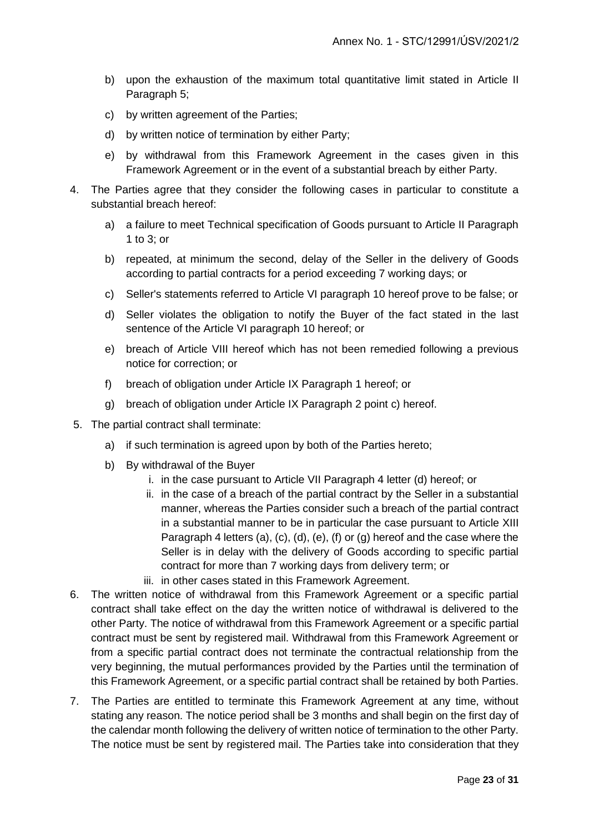- b) upon the exhaustion of the maximum total quantitative limit stated in Article II Paragraph 5;
- c) by written agreement of the Parties;
- d) by written notice of termination by either Party;
- e) by withdrawal from this Framework Agreement in the cases given in this Framework Agreement or in the event of a substantial breach by either Party.
- 4. The Parties agree that they consider the following cases in particular to constitute a substantial breach hereof:
	- a) a failure to meet Technical specification of Goods pursuant to Article II Paragraph 1 to 3; or
	- b) repeated, at minimum the second, delay of the Seller in the delivery of Goods according to partial contracts for a period exceeding 7 working days; or
	- c) Seller's statements referred to Article VI paragraph 10 hereof prove to be false; or
	- d) Seller violates the obligation to notify the Buyer of the fact stated in the last sentence of the Article VI paragraph 10 hereof; or
	- e) breach of Article VIII hereof which has not been remedied following a previous notice for correction; or
	- f) breach of obligation under Article IX Paragraph 1 hereof; or
	- g) breach of obligation under Article IX Paragraph 2 point c) hereof.
- 5. The partial contract shall terminate:
	- a) if such termination is agreed upon by both of the Parties hereto;
	- b) By withdrawal of the Buyer
		- i. in the case pursuant to Article VII Paragraph 4 letter (d) hereof; or
		- ii. in the case of a breach of the partial contract by the Seller in a substantial manner, whereas the Parties consider such a breach of the partial contract in a substantial manner to be in particular the case pursuant to Article XIII Paragraph 4 letters (a), (c), (d), (e), (f) or (g) hereof and the case where the Seller is in delay with the delivery of Goods according to specific partial contract for more than 7 working days from delivery term; or
		- iii. in other cases stated in this Framework Agreement.
- 6. The written notice of withdrawal from this Framework Agreement or a specific partial contract shall take effect on the day the written notice of withdrawal is delivered to the other Party. The notice of withdrawal from this Framework Agreement or a specific partial contract must be sent by registered mail. Withdrawal from this Framework Agreement or from a specific partial contract does not terminate the contractual relationship from the very beginning, the mutual performances provided by the Parties until the termination of this Framework Agreement, or a specific partial contract shall be retained by both Parties.
- 7. The Parties are entitled to terminate this Framework Agreement at any time, without stating any reason. The notice period shall be 3 months and shall begin on the first day of the calendar month following the delivery of written notice of termination to the other Party. The notice must be sent by registered mail. The Parties take into consideration that they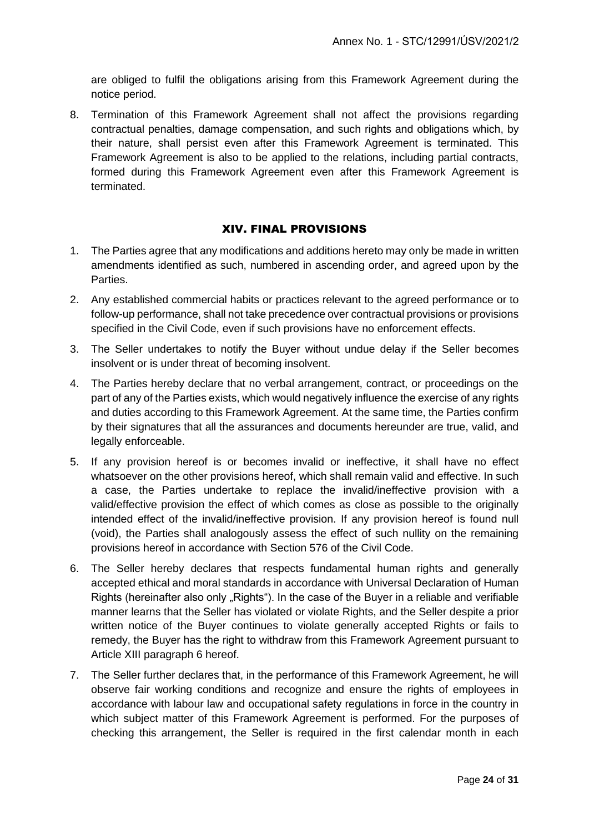are obliged to fulfil the obligations arising from this Framework Agreement during the notice period.

8. Termination of this Framework Agreement shall not affect the provisions regarding contractual penalties, damage compensation, and such rights and obligations which, by their nature, shall persist even after this Framework Agreement is terminated. This Framework Agreement is also to be applied to the relations, including partial contracts, formed during this Framework Agreement even after this Framework Agreement is terminated.

#### XIV. FINAL PROVISIONS

- 1. The Parties agree that any modifications and additions hereto may only be made in written amendments identified as such, numbered in ascending order, and agreed upon by the Parties.
- 2. Any established commercial habits or practices relevant to the agreed performance or to follow-up performance, shall not take precedence over contractual provisions or provisions specified in the Civil Code, even if such provisions have no enforcement effects.
- 3. The Seller undertakes to notify the Buyer without undue delay if the Seller becomes insolvent or is under threat of becoming insolvent.
- 4. The Parties hereby declare that no verbal arrangement, contract, or proceedings on the part of any of the Parties exists, which would negatively influence the exercise of any rights and duties according to this Framework Agreement. At the same time, the Parties confirm by their signatures that all the assurances and documents hereunder are true, valid, and legally enforceable.
- 5. If any provision hereof is or becomes invalid or ineffective, it shall have no effect whatsoever on the other provisions hereof, which shall remain valid and effective. In such a case, the Parties undertake to replace the invalid/ineffective provision with a valid/effective provision the effect of which comes as close as possible to the originally intended effect of the invalid/ineffective provision. If any provision hereof is found null (void), the Parties shall analogously assess the effect of such nullity on the remaining provisions hereof in accordance with Section 576 of the Civil Code.
- 6. The Seller hereby declares that respects fundamental human rights and generally accepted ethical and moral standards in accordance with Universal Declaration of Human Rights (hereinafter also only "Rights"). In the case of the Buyer in a reliable and verifiable manner learns that the Seller has violated or violate Rights, and the Seller despite a prior written notice of the Buyer continues to violate generally accepted Rights or fails to remedy, the Buyer has the right to withdraw from this Framework Agreement pursuant to Article XIII paragraph 6 hereof.
- 7. The Seller further declares that, in the performance of this Framework Agreement, he will observe fair working conditions and recognize and ensure the rights of employees in accordance with labour law and occupational safety regulations in force in the country in which subject matter of this Framework Agreement is performed. For the purposes of checking this arrangement, the Seller is required in the first calendar month in each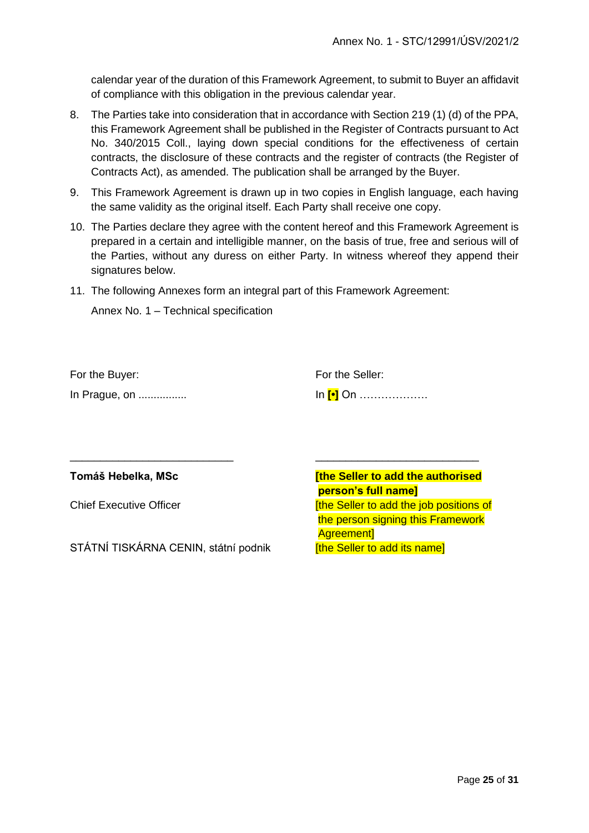calendar year of the duration of this Framework Agreement, to submit to Buyer an affidavit of compliance with this obligation in the previous calendar year.

- 8. The Parties take into consideration that in accordance with Section 219 (1) (d) of the PPA, this Framework Agreement shall be published in the Register of Contracts pursuant to Act No. 340/2015 Coll., laying down special conditions for the effectiveness of certain contracts, the disclosure of these contracts and the register of contracts (the Register of Contracts Act), as amended. The publication shall be arranged by the Buyer.
- 9. This Framework Agreement is drawn up in two copies in English language, each having the same validity as the original itself. Each Party shall receive one copy.
- 10. The Parties declare they agree with the content hereof and this Framework Agreement is prepared in a certain and intelligible manner, on the basis of true, free and serious will of the Parties, without any duress on either Party. In witness whereof they append their signatures below.
- 11. The following Annexes form an integral part of this Framework Agreement:

Annex No. 1 – Technical specification

| For the Buyer: | For the Seller:  |
|----------------|------------------|
| In Prague, on  | In [∙] On ……………… |

\_\_\_\_\_\_\_\_\_\_\_\_\_\_\_\_\_\_\_\_\_\_\_\_\_\_\_ \_\_\_\_\_\_\_\_\_\_\_\_\_\_\_\_\_\_\_\_\_\_\_\_\_\_\_

STÁTNÍ TISKÁRNA CENIN, státní podnik **Filme Seller to add its namel** 

**Tomáš Hebelka, MSc [the Seller to add the authorised person's full name]** Chief Executive Officer **Executive Chief Executive**  $\frac{d}{dt}$  **[the Seller to add the job positions of**  the person signing this Framework Agreement]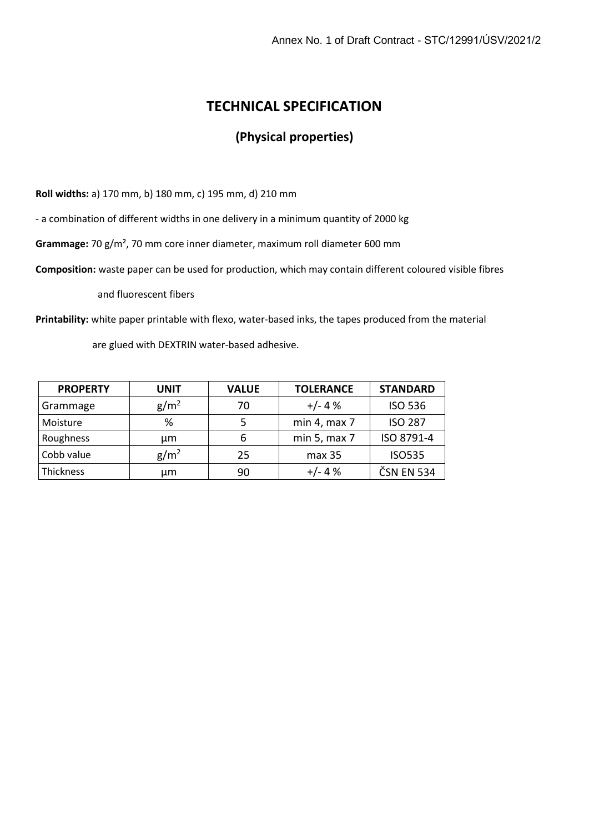## **TECHNICAL SPECIFICATION**

## **(Physical properties)**

**Roll widths:** a) 170 mm, b) 180 mm, c) 195 mm, d) 210 mm

- a combination of different widths in one delivery in a minimum quantity of 2000 kg

**Grammage:** 70 g/m², 70 mm core inner diameter, maximum roll diameter 600 mm

**Composition:** waste paper can be used for production, which may contain different coloured visible fibres

and fluorescent fibers

**Printability:** white paper printable with flexo, water-based inks, the tapes produced from the material

are glued with DEXTRIN water-based adhesive.

| <b>PROPERTY</b> | <b>UNIT</b>      | <b>VALUE</b> | <b>TOLERANCE</b>  | <b>STANDARD</b> |
|-----------------|------------------|--------------|-------------------|-----------------|
| Grammage        | g/m <sup>2</sup> | 70           | $+/- 4%$          | <b>ISO 536</b>  |
| Moisture        | %                | 5            | min 4, max 7      | <b>ISO 287</b>  |
| Roughness       | μm               | 6            | min 5, $max 7$    | ISO 8791-4      |
| Cobb value      | g/m <sup>2</sup> | 25           | max <sub>35</sub> | <b>ISO535</b>   |
| Thickness       | μm               | 90           | $+/- 4%$          | ČSN EN 534      |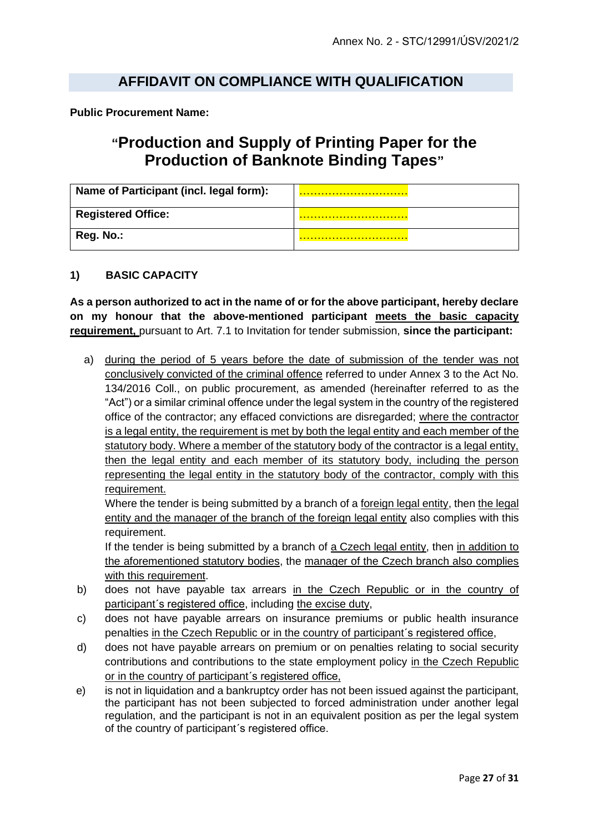#### **AFFIDAVIT ON COMPLIANCE WITH QUALIFICATION**

**Public Procurement Name:**

## **"Production and Supply of Printing Paper for the Production of Banknote Binding Tapes"**

| Name of Participant (incl. legal form): |  |
|-----------------------------------------|--|
| <b>Registered Office:</b>               |  |
| Reg. No.:                               |  |

#### **1) BASIC CAPACITY**

**As a person authorized to act in the name of or for the above participant, hereby declare on my honour that the above-mentioned participant meets the basic capacity requirement,** pursuant to Art. 7.1 to Invitation for tender submission, **since the participant:**

a) during the period of 5 years before the date of submission of the tender was not conclusively convicted of the criminal offence referred to under Annex 3 to the Act No. 134/2016 Coll., on public procurement, as amended (hereinafter referred to as the "Act") or a similar criminal offence under the legal system in the country of the registered office of the contractor; any effaced convictions are disregarded; where the contractor is a legal entity, the requirement is met by both the legal entity and each member of the statutory body. Where a member of the statutory body of the contractor is a legal entity, then the legal entity and each member of its statutory body, including the person representing the legal entity in the statutory body of the contractor, comply with this requirement.

Where the tender is being submitted by a branch of a foreign legal entity, then the legal entity and the manager of the branch of the foreign legal entity also complies with this requirement.

If the tender is being submitted by a branch of a Czech legal entity, then in addition to the aforementioned statutory bodies, the manager of the Czech branch also complies with this requirement.

- b) does not have payable tax arrears in the Czech Republic or in the country of participant´s registered office, including the excise duty,
- c) does not have payable arrears on insurance premiums or public health insurance penalties in the Czech Republic or in the country of participant´s registered office,
- d) does not have payable arrears on premium or on penalties relating to social security contributions and contributions to the state employment policy in the Czech Republic or in the country of participant´s registered office,
- e) is not in liquidation and a bankruptcy order has not been issued against the participant, the participant has not been subjected to forced administration under another legal regulation, and the participant is not in an equivalent position as per the legal system of the country of participant´s registered office.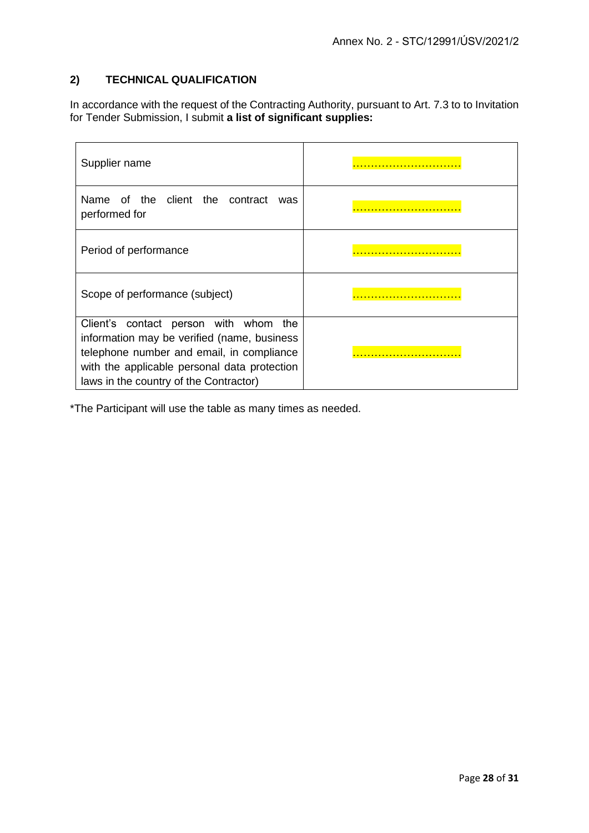#### **2) TECHNICAL QUALIFICATION**

In accordance with the request of the Contracting Authority, pursuant to Art. 7.3 to to Invitation for Tender Submission, I submit **a list of significant supplies:**

| Supplier name                                                                                                                                                                                                                  |  |
|--------------------------------------------------------------------------------------------------------------------------------------------------------------------------------------------------------------------------------|--|
| Name of the client the contract<br>was<br>performed for                                                                                                                                                                        |  |
| Period of performance                                                                                                                                                                                                          |  |
| Scope of performance (subject)                                                                                                                                                                                                 |  |
| Client's contact person with whom<br>the<br>information may be verified (name, business<br>telephone number and email, in compliance<br>with the applicable personal data protection<br>laws in the country of the Contractor) |  |

\*The Participant will use the table as many times as needed.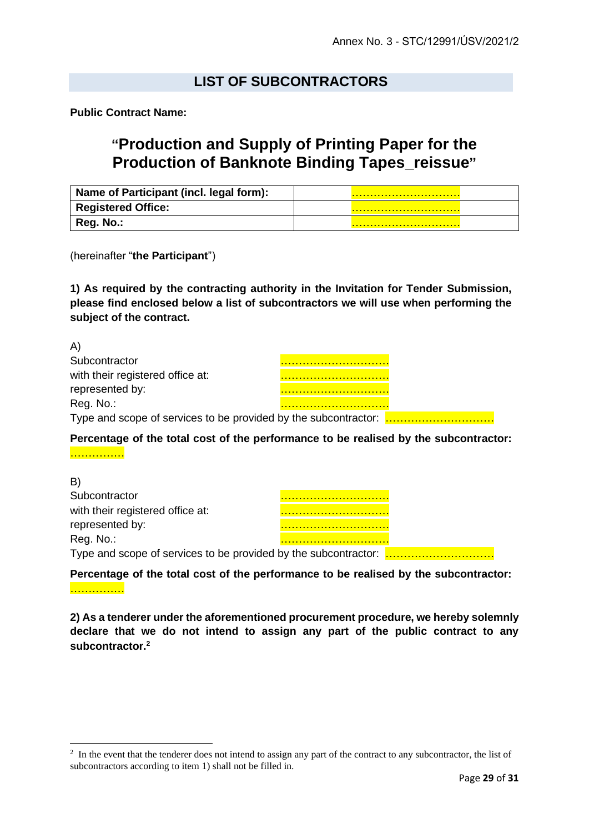### **LIST OF SUBCONTRACTORS**

**Public Contract Name:**

## **"Production and Supply of Printing Paper for the Production of Banknote Binding Tapes\_reissue"**

| Name of Participant (incl. legal form): |  |
|-----------------------------------------|--|
| <b>Registered Office:</b>               |  |
| Reg. No.:                               |  |

(hereinafter "**the Participant**")

**1) As required by the contracting authority in the Invitation for Tender Submission, please find enclosed below a list of subcontractors we will use when performing the subject of the contract.**

| $\mathsf{m}$                     |  |  |
|----------------------------------|--|--|
| Subcontractor                    |  |  |
| with their registered office at: |  |  |
| represented by:                  |  |  |
| Reg. No.:                        |  |  |
|                                  |  |  |

#### **Percentage of the total cost of the performance to be realised by the subcontractor:**

……………

 $\lambda$ 

| B)                                                              |  |  |
|-----------------------------------------------------------------|--|--|
| Subcontractor                                                   |  |  |
| with their registered office at:                                |  |  |
| represented by:                                                 |  |  |
| Reg. No.:                                                       |  |  |
| Type and scope of services to be provided by the subcontractor: |  |  |

**Percentage of the total cost of the performance to be realised by the subcontractor:**  ………………

**2) As a tenderer under the aforementioned procurement procedure, we hereby solemnly declare that we do not intend to assign any part of the public contract to any subcontractor.<sup>2</sup>**

 $2<sup>2</sup>$  In the event that the tenderer does not intend to assign any part of the contract to any subcontractor, the list of subcontractors according to item 1) shall not be filled in.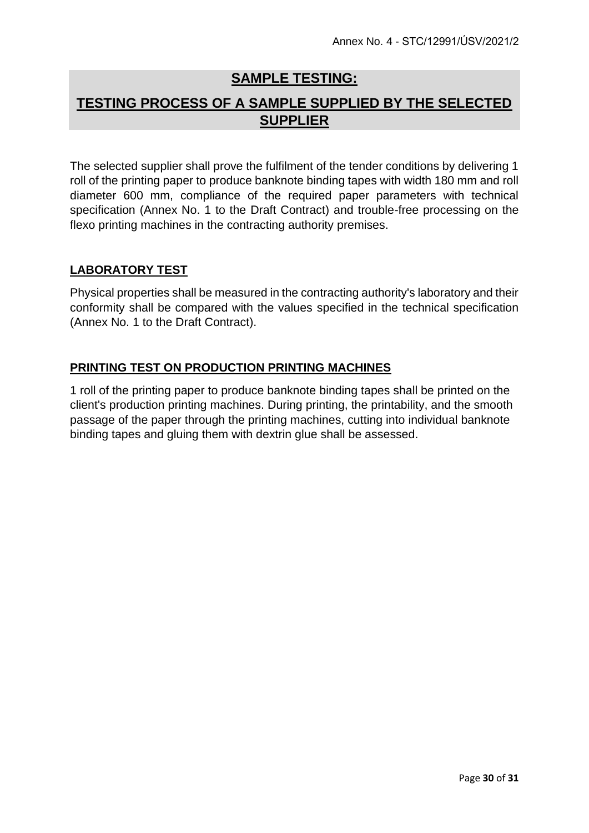## **SAMPLE TESTING:**

## **TESTING PROCESS OF A SAMPLE SUPPLIED BY THE SELECTED SUPPLIER**

The selected supplier shall prove the fulfilment of the tender conditions by delivering 1 roll of the printing paper to produce banknote binding tapes with width 180 mm and roll diameter 600 mm, compliance of the required paper parameters with technical specification (Annex No. 1 to the Draft Contract) and trouble-free processing on the flexo printing machines in the contracting authority premises.

#### **LABORATORY TEST**

Physical properties shall be measured in the contracting authority's laboratory and their conformity shall be compared with the values specified in the technical specification (Annex No. 1 to the Draft Contract).

#### **PRINTING TEST ON PRODUCTION PRINTING MACHINES**

1 roll of the printing paper to produce banknote binding tapes shall be printed on the client's production printing machines. During printing, the printability, and the smooth passage of the paper through the printing machines, cutting into individual banknote binding tapes and gluing them with dextrin glue shall be assessed.